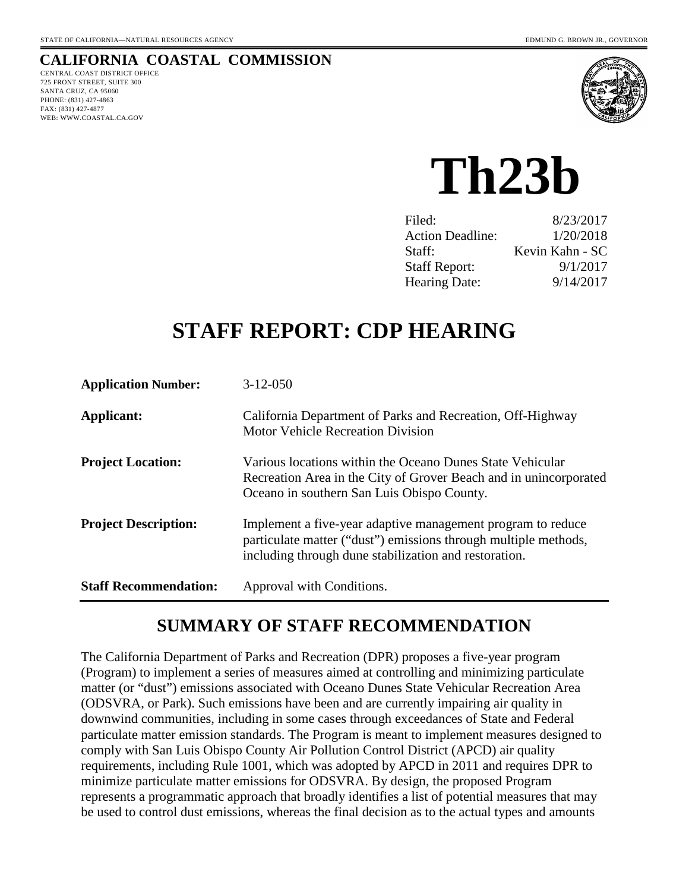## **CALIFORNIA COASTAL COMMISSION**

CENTRAL COAST DISTRICT OFFICE 725 FRONT STREET, SUITE 300 SANTA CRUZ, CA 95060 PHONE: (831) 427-4863 FAX: (831) 427-4877 WEB: WWW.COASTAL.CA.GOV



# **Th23b**

| 8/23/2017       |
|-----------------|
| 1/20/2018       |
| Kevin Kahn - SC |
| 9/1/2017        |
| 9/14/2017       |
|                 |

## **STAFF REPORT: CDP HEARING**

| <b>Application Number:</b>   | $3-12-050$                                                                                                                                                                              |
|------------------------------|-----------------------------------------------------------------------------------------------------------------------------------------------------------------------------------------|
| Applicant:                   | California Department of Parks and Recreation, Off-Highway<br><b>Motor Vehicle Recreation Division</b>                                                                                  |
| <b>Project Location:</b>     | Various locations within the Oceano Dunes State Vehicular<br>Recreation Area in the City of Grover Beach and in unincorporated<br>Oceano in southern San Luis Obispo County.            |
| <b>Project Description:</b>  | Implement a five-year adaptive management program to reduce<br>particulate matter ("dust") emissions through multiple methods,<br>including through dune stabilization and restoration. |
| <b>Staff Recommendation:</b> | Approval with Conditions.                                                                                                                                                               |

## **SUMMARY OF STAFF RECOMMENDATION**

The California Department of Parks and Recreation (DPR) proposes a five-year program (Program) to implement a series of measures aimed at controlling and minimizing particulate matter (or "dust") emissions associated with Oceano Dunes State Vehicular Recreation Area (ODSVRA, or Park). Such emissions have been and are currently impairing air quality in downwind communities, including in some cases through exceedances of State and Federal particulate matter emission standards. The Program is meant to implement measures designed to comply with San Luis Obispo County Air Pollution Control District (APCD) air quality requirements, including Rule 1001, which was adopted by APCD in 2011 and requires DPR to minimize particulate matter emissions for ODSVRA. By design, the proposed Program represents a programmatic approach that broadly identifies a list of potential measures that may be used to control dust emissions, whereas the final decision as to the actual types and amounts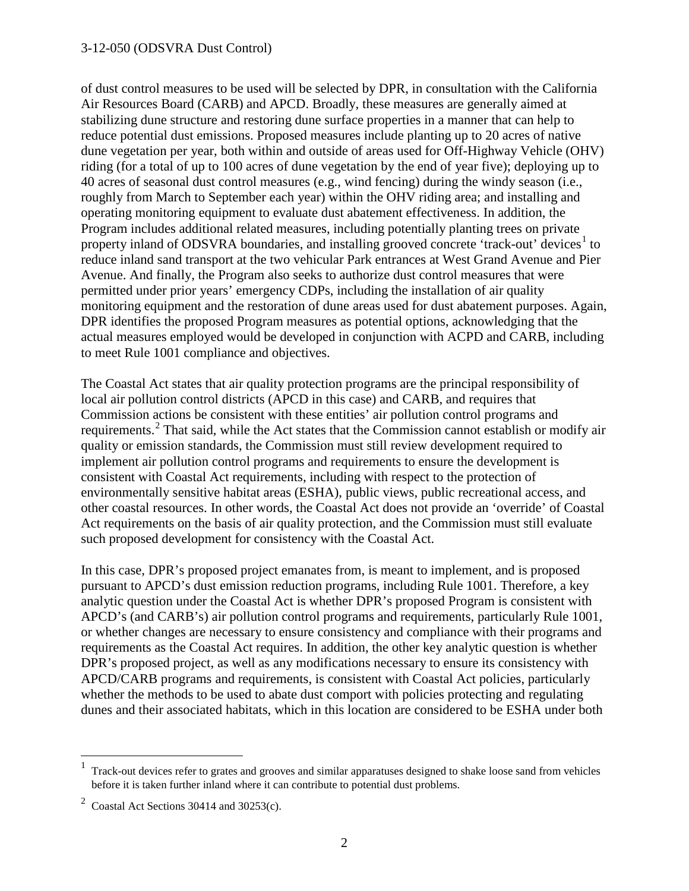of dust control measures to be used will be selected by DPR, in consultation with the California Air Resources Board (CARB) and APCD. Broadly, these measures are generally aimed at stabilizing dune structure and restoring dune surface properties in a manner that can help to reduce potential dust emissions. Proposed measures include planting up to 20 acres of native dune vegetation per year, both within and outside of areas used for Off-Highway Vehicle (OHV) riding (for a total of up to 100 acres of dune vegetation by the end of year five); deploying up to 40 acres of seasonal dust control measures (e.g., wind fencing) during the windy season (i.e., roughly from March to September each year) within the OHV riding area; and installing and operating monitoring equipment to evaluate dust abatement effectiveness. In addition, the Program includes additional related measures, including potentially planting trees on private property inland of ODSVRA boundaries, and installing grooved concrete 'track-out' devices<sup>[1](#page-1-0)</sup> to reduce inland sand transport at the two vehicular Park entrances at West Grand Avenue and Pier Avenue. And finally, the Program also seeks to authorize dust control measures that were permitted under prior years' emergency CDPs, including the installation of air quality monitoring equipment and the restoration of dune areas used for dust abatement purposes. Again, DPR identifies the proposed Program measures as potential options, acknowledging that the actual measures employed would be developed in conjunction with ACPD and CARB, including to meet Rule 1001 compliance and objectives.

The Coastal Act states that air quality protection programs are the principal responsibility of local air pollution control districts (APCD in this case) and CARB, and requires that Commission actions be consistent with these entities' air pollution control programs and requirements.<sup>[2](#page-1-1)</sup> That said, while the Act states that the Commission cannot establish or modify air quality or emission standards, the Commission must still review development required to implement air pollution control programs and requirements to ensure the development is consistent with Coastal Act requirements, including with respect to the protection of environmentally sensitive habitat areas (ESHA), public views, public recreational access, and other coastal resources. In other words, the Coastal Act does not provide an 'override' of Coastal Act requirements on the basis of air quality protection, and the Commission must still evaluate such proposed development for consistency with the Coastal Act.

In this case, DPR's proposed project emanates from, is meant to implement, and is proposed pursuant to APCD's dust emission reduction programs, including Rule 1001. Therefore, a key analytic question under the Coastal Act is whether DPR's proposed Program is consistent with APCD's (and CARB's) air pollution control programs and requirements, particularly Rule 1001, or whether changes are necessary to ensure consistency and compliance with their programs and requirements as the Coastal Act requires. In addition, the other key analytic question is whether DPR's proposed project, as well as any modifications necessary to ensure its consistency with APCD/CARB programs and requirements, is consistent with Coastal Act policies, particularly whether the methods to be used to abate dust comport with policies protecting and regulating dunes and their associated habitats, which in this location are considered to be ESHA under both

 $\overline{a}$ 

<span id="page-1-0"></span><sup>1</sup> Track-out devices refer to grates and grooves and similar apparatuses designed to shake loose sand from vehicles before it is taken further inland where it can contribute to potential dust problems.

<span id="page-1-1"></span><sup>&</sup>lt;sup>2</sup> Coastal Act Sections 30414 and 30253(c).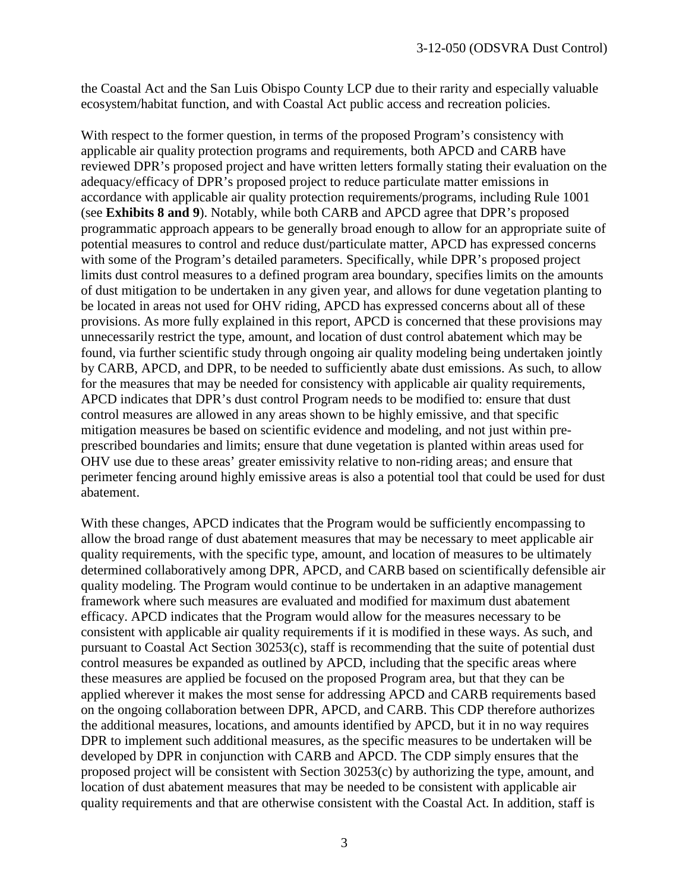the Coastal Act and the San Luis Obispo County LCP due to their rarity and especially valuable ecosystem/habitat function, and with Coastal Act public access and recreation policies.

With respect to the former question, in terms of the proposed Program's consistency with applicable air quality protection programs and requirements, both APCD and CARB have reviewed DPR's proposed project and have written letters formally stating their evaluation on the adequacy/efficacy of DPR's proposed project to reduce particulate matter emissions in accordance with applicable air quality protection requirements/programs, including Rule 1001 (see **Exhibits 8 and 9**). Notably, while both CARB and APCD agree that DPR's proposed programmatic approach appears to be generally broad enough to allow for an appropriate suite of potential measures to control and reduce dust/particulate matter, APCD has expressed concerns with some of the Program's detailed parameters. Specifically, while DPR's proposed project limits dust control measures to a defined program area boundary, specifies limits on the amounts of dust mitigation to be undertaken in any given year, and allows for dune vegetation planting to be located in areas not used for OHV riding, APCD has expressed concerns about all of these provisions. As more fully explained in this report, APCD is concerned that these provisions may unnecessarily restrict the type, amount, and location of dust control abatement which may be found, via further scientific study through ongoing air quality modeling being undertaken jointly by CARB, APCD, and DPR, to be needed to sufficiently abate dust emissions. As such, to allow for the measures that may be needed for consistency with applicable air quality requirements, APCD indicates that DPR's dust control Program needs to be modified to: ensure that dust control measures are allowed in any areas shown to be highly emissive, and that specific mitigation measures be based on scientific evidence and modeling, and not just within preprescribed boundaries and limits; ensure that dune vegetation is planted within areas used for OHV use due to these areas' greater emissivity relative to non-riding areas; and ensure that perimeter fencing around highly emissive areas is also a potential tool that could be used for dust abatement.

With these changes, APCD indicates that the Program would be sufficiently encompassing to allow the broad range of dust abatement measures that may be necessary to meet applicable air quality requirements, with the specific type, amount, and location of measures to be ultimately determined collaboratively among DPR, APCD, and CARB based on scientifically defensible air quality modeling. The Program would continue to be undertaken in an adaptive management framework where such measures are evaluated and modified for maximum dust abatement efficacy. APCD indicates that the Program would allow for the measures necessary to be consistent with applicable air quality requirements if it is modified in these ways. As such, and pursuant to Coastal Act Section 30253(c), staff is recommending that the suite of potential dust control measures be expanded as outlined by APCD, including that the specific areas where these measures are applied be focused on the proposed Program area, but that they can be applied wherever it makes the most sense for addressing APCD and CARB requirements based on the ongoing collaboration between DPR, APCD, and CARB. This CDP therefore authorizes the additional measures, locations, and amounts identified by APCD, but it in no way requires DPR to implement such additional measures, as the specific measures to be undertaken will be developed by DPR in conjunction with CARB and APCD. The CDP simply ensures that the proposed project will be consistent with Section 30253(c) by authorizing the type, amount, and location of dust abatement measures that may be needed to be consistent with applicable air quality requirements and that are otherwise consistent with the Coastal Act. In addition, staff is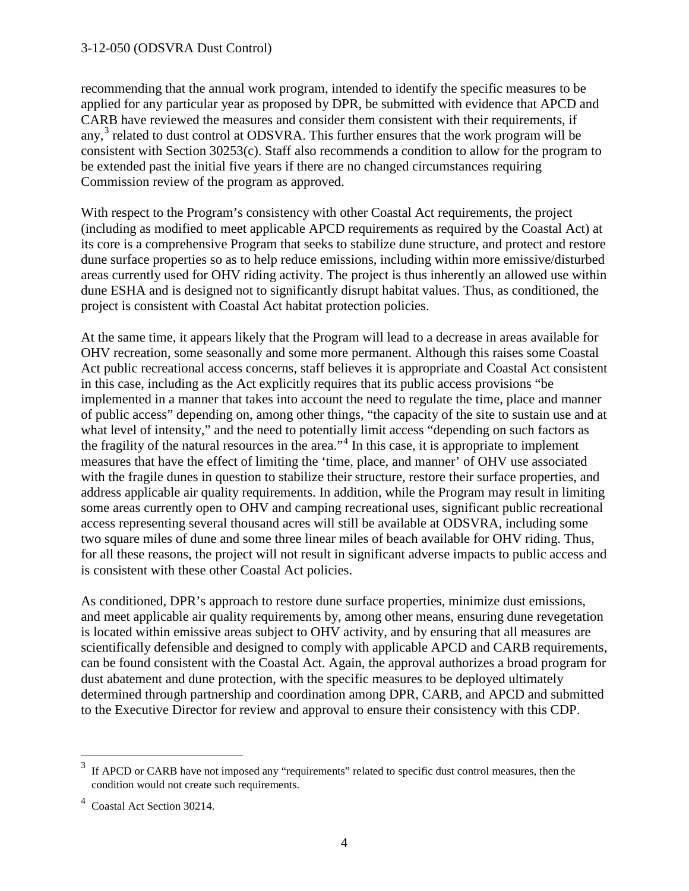recommending that the annual work program, intended to identify the specific measures to be applied for any particular year as proposed by DPR, be submitted with evidence that APCD and CARB have reviewed the measures and consider them consistent with their requirements, if any,<sup>[3](#page-3-0)</sup> related to dust control at ODSVRA. This further ensures that the work program will be consistent with Section 30253(c). Staff also recommends a condition to allow for the program to be extended past the initial five years if there are no changed circumstances requiring Commission review of the program as approved.

With respect to the Program's consistency with other Coastal Act requirements, the project (including as modified to meet applicable APCD requirements as required by the Coastal Act) at its core is a comprehensive Program that seeks to stabilize dune structure, and protect and restore dune surface properties so as to help reduce emissions, including within more emissive/disturbed areas currently used for OHV riding activity. The project is thus inherently an allowed use within dune ESHA and is designed not to significantly disrupt habitat values. Thus, as conditioned, the project is consistent with Coastal Act habitat protection policies.

At the same time, it appears likely that the Program will lead to a decrease in areas available for OHV recreation, some seasonally and some more permanent. Although this raises some Coastal Act public recreational access concerns, staff believes it is appropriate and Coastal Act consistent in this case, including as the Act explicitly requires that its public access provisions "be implemented in a manner that takes into account the need to regulate the time, place and manner of public access" depending on, among other things, "the capacity of the site to sustain use and at what level of intensity," and the need to potentially limit access "depending on such factors as the fragility of the natural resources in the area."[4](#page-3-1) In this case, it is appropriate to implement measures that have the effect of limiting the 'time, place, and manner' of OHV use associated with the fragile dunes in question to stabilize their structure, restore their surface properties, and address applicable air quality requirements. In addition, while the Program may result in limiting some areas currently open to OHV and camping recreational uses, significant public recreational access representing several thousand acres will still be available at ODSVRA, including some two square miles of dune and some three linear miles of beach available for OHV riding. Thus, for all these reasons, the project will not result in significant adverse impacts to public access and is consistent with these other Coastal Act policies.

As conditioned, DPR's approach to restore dune surface properties, minimize dust emissions, and meet applicable air quality requirements by, among other means, ensuring dune revegetation is located within emissive areas subject to OHV activity, and by ensuring that all measures are scientifically defensible and designed to comply with applicable APCD and CARB requirements, can be found consistent with the Coastal Act. Again, the approval authorizes a broad program for dust abatement and dune protection, with the specific measures to be deployed ultimately determined through partnership and coordination among DPR, CARB, and APCD and submitted to the Executive Director for review and approval to ensure their consistency with this CDP.

 $\overline{a}$ 

<span id="page-3-0"></span><sup>3</sup> If APCD or CARB have not imposed any "requirements" related to specific dust control measures, then the condition would not create such requirements.

<span id="page-3-1"></span><sup>4</sup> Coastal Act Section 30214.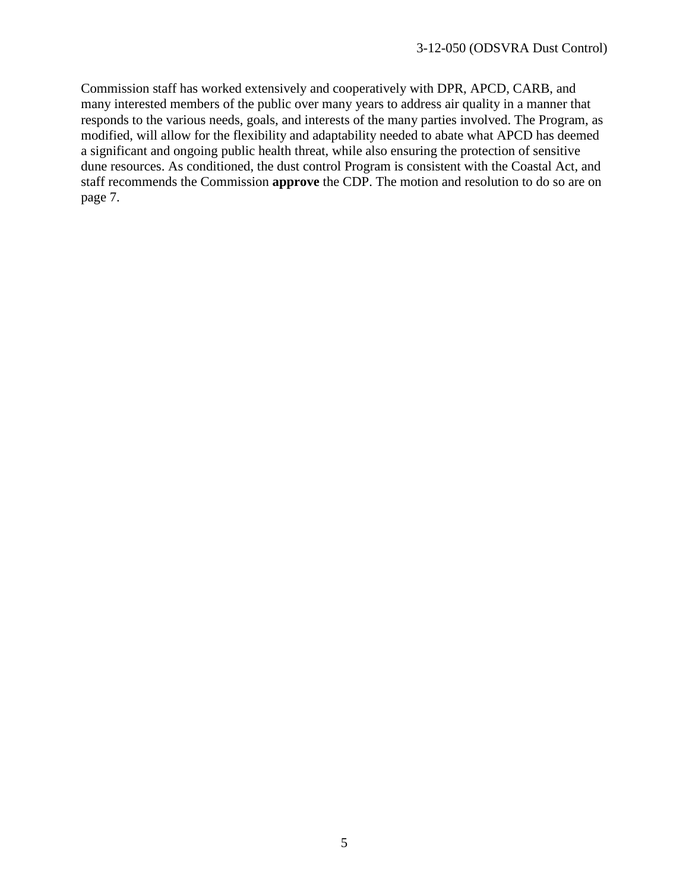Commission staff has worked extensively and cooperatively with DPR, APCD, CARB, and many interested members of the public over many years to address air quality in a manner that responds to the various needs, goals, and interests of the many parties involved. The Program, as modified, will allow for the flexibility and adaptability needed to abate what APCD has deemed a significant and ongoing public health threat, while also ensuring the protection of sensitive dune resources. As conditioned, the dust control Program is consistent with the Coastal Act, and staff recommends the Commission **approve** the CDP. The motion and resolution to do so are on page 7.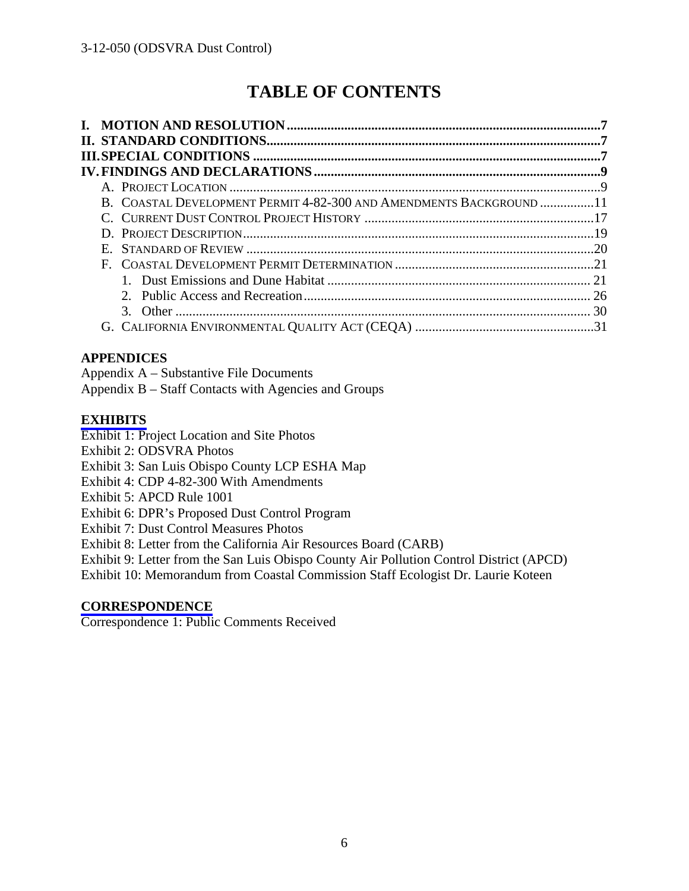## **TABLE OF CONTENTS**

| B. COASTAL DEVELOPMENT PERMIT 4-82-300 AND AMENDMENTS BACKGROUND 11 |  |
|---------------------------------------------------------------------|--|
|                                                                     |  |
|                                                                     |  |
| Е.                                                                  |  |
| F.                                                                  |  |
|                                                                     |  |
|                                                                     |  |
|                                                                     |  |
|                                                                     |  |

#### **APPENDICES**

Appendix A – Substantive File Documents

Appendix B – Staff Contacts with Agencies and Groups

#### **[EXHIBITS](https://documents.coastal.ca.gov/reports/2017/9/Th23b/Th23b-9-2017-exhibits.pdf)**

Exhibit 1: Project Location and Site Photos

Exhibit 2: ODSVRA Photos

Exhibit 3: San Luis Obispo County LCP ESHA Map

Exhibit 4: CDP 4-82-300 With Amendments

Exhibit 5: APCD Rule 1001

Exhibit 6: DPR's Proposed Dust Control Program

Exhibit 7: Dust Control Measures Photos

Exhibit 8: Letter from the California Air Resources Board (CARB)

Exhibit 9: Letter from the San Luis Obispo County Air Pollution Control District (APCD)

Exhibit 10: Memorandum from Coastal Commission Staff Ecologist Dr. Laurie Koteen

#### **[CORRESPONDENCE](https://documents.coastal.ca.gov/reports/2017/9/Th23b/Th23b-9-2017-corresp.pdf)**

Correspondence 1: Public Comments Received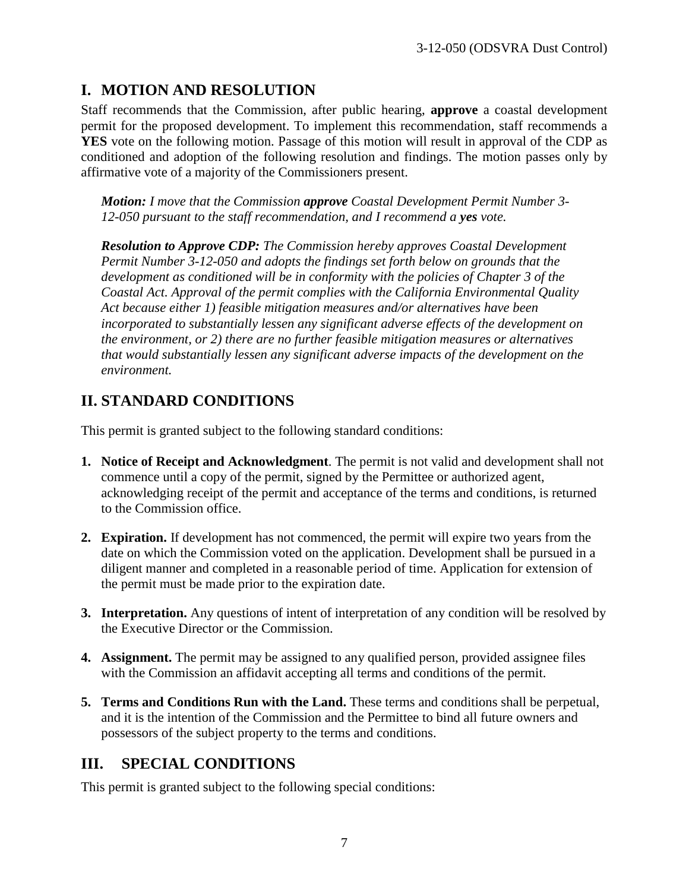## **I. MOTION AND RESOLUTION**

Staff recommends that the Commission, after public hearing, **approve** a coastal development permit for the proposed development. To implement this recommendation, staff recommends a **YES** vote on the following motion. Passage of this motion will result in approval of the CDP as conditioned and adoption of the following resolution and findings. The motion passes only by affirmative vote of a majority of the Commissioners present.

*Motion: I move that the Commission approve Coastal Development Permit Number 3- 12-050 pursuant to the staff recommendation, and I recommend a yes vote.* 

*Resolution to Approve CDP: The Commission hereby approves Coastal Development Permit Number 3-12-050 and adopts the findings set forth below on grounds that the development as conditioned will be in conformity with the policies of Chapter 3 of the Coastal Act. Approval of the permit complies with the California Environmental Quality Act because either 1) feasible mitigation measures and/or alternatives have been incorporated to substantially lessen any significant adverse effects of the development on the environment, or 2) there are no further feasible mitigation measures or alternatives that would substantially lessen any significant adverse impacts of the development on the environment.* 

## **II. STANDARD CONDITIONS**

This permit is granted subject to the following standard conditions:

- **1. Notice of Receipt and Acknowledgment**. The permit is not valid and development shall not commence until a copy of the permit, signed by the Permittee or authorized agent, acknowledging receipt of the permit and acceptance of the terms and conditions, is returned to the Commission office.
- **2. Expiration.** If development has not commenced, the permit will expire two years from the date on which the Commission voted on the application. Development shall be pursued in a diligent manner and completed in a reasonable period of time. Application for extension of the permit must be made prior to the expiration date.
- **3. Interpretation.** Any questions of intent of interpretation of any condition will be resolved by the Executive Director or the Commission.
- **4. Assignment.** The permit may be assigned to any qualified person, provided assignee files with the Commission an affidavit accepting all terms and conditions of the permit.
- **5. Terms and Conditions Run with the Land.** These terms and conditions shall be perpetual, and it is the intention of the Commission and the Permittee to bind all future owners and possessors of the subject property to the terms and conditions.

## **III. SPECIAL CONDITIONS**

This permit is granted subject to the following special conditions: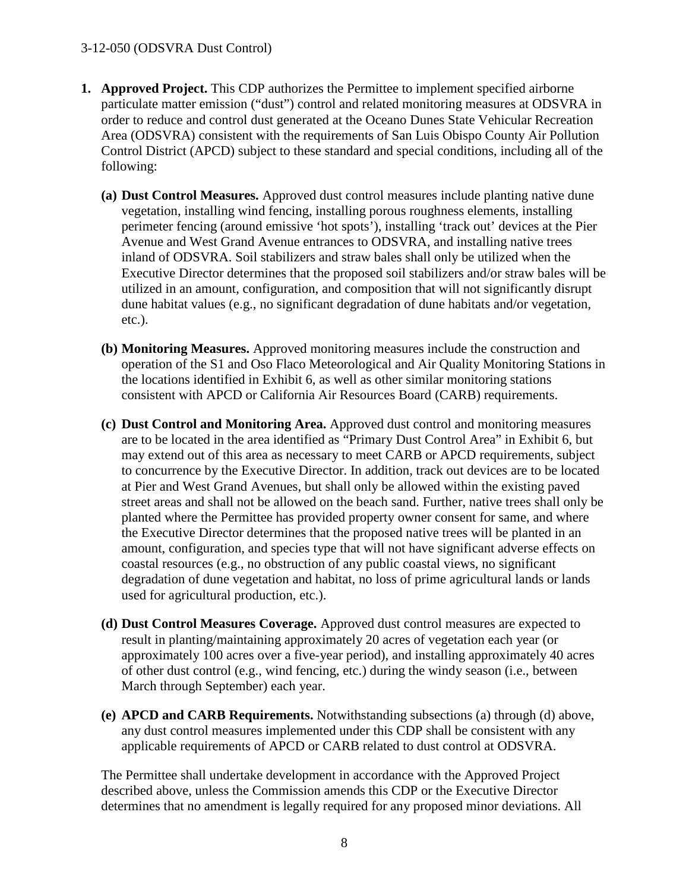- **1. Approved Project.** This CDP authorizes the Permittee to implement specified airborne particulate matter emission ("dust") control and related monitoring measures at ODSVRA in order to reduce and control dust generated at the Oceano Dunes State Vehicular Recreation Area (ODSVRA) consistent with the requirements of San Luis Obispo County Air Pollution Control District (APCD) subject to these standard and special conditions, including all of the following:
	- **(a) Dust Control Measures.** Approved dust control measures include planting native dune vegetation, installing wind fencing, installing porous roughness elements, installing perimeter fencing (around emissive 'hot spots'), installing 'track out' devices at the Pier Avenue and West Grand Avenue entrances to ODSVRA, and installing native trees inland of ODSVRA. Soil stabilizers and straw bales shall only be utilized when the Executive Director determines that the proposed soil stabilizers and/or straw bales will be utilized in an amount, configuration, and composition that will not significantly disrupt dune habitat values (e.g., no significant degradation of dune habitats and/or vegetation, etc.).
	- **(b) Monitoring Measures.** Approved monitoring measures include the construction and operation of the S1 and Oso Flaco Meteorological and Air Quality Monitoring Stations in the locations identified in Exhibit 6, as well as other similar monitoring stations consistent with APCD or California Air Resources Board (CARB) requirements.
	- **(c) Dust Control and Monitoring Area.** Approved dust control and monitoring measures are to be located in the area identified as "Primary Dust Control Area" in Exhibit 6, but may extend out of this area as necessary to meet CARB or APCD requirements, subject to concurrence by the Executive Director. In addition, track out devices are to be located at Pier and West Grand Avenues, but shall only be allowed within the existing paved street areas and shall not be allowed on the beach sand. Further, native trees shall only be planted where the Permittee has provided property owner consent for same, and where the Executive Director determines that the proposed native trees will be planted in an amount, configuration, and species type that will not have significant adverse effects on coastal resources (e.g., no obstruction of any public coastal views, no significant degradation of dune vegetation and habitat, no loss of prime agricultural lands or lands used for agricultural production, etc.).
	- **(d) Dust Control Measures Coverage.** Approved dust control measures are expected to result in planting/maintaining approximately 20 acres of vegetation each year (or approximately 100 acres over a five-year period), and installing approximately 40 acres of other dust control (e.g., wind fencing, etc.) during the windy season (i.e., between March through September) each year.
	- **(e) APCD and CARB Requirements.** Notwithstanding subsections (a) through (d) above, any dust control measures implemented under this CDP shall be consistent with any applicable requirements of APCD or CARB related to dust control at ODSVRA.

The Permittee shall undertake development in accordance with the Approved Project described above, unless the Commission amends this CDP or the Executive Director determines that no amendment is legally required for any proposed minor deviations. All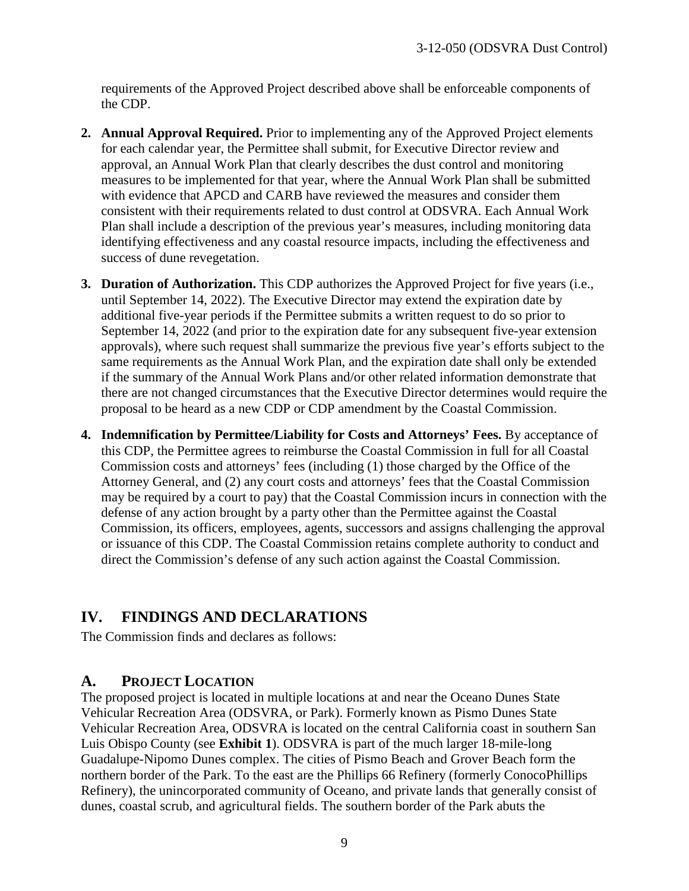requirements of the Approved Project described above shall be enforceable components of the CDP.

- **2. Annual Approval Required.** Prior to implementing any of the Approved Project elements for each calendar year, the Permittee shall submit, for Executive Director review and approval, an Annual Work Plan that clearly describes the dust control and monitoring measures to be implemented for that year, where the Annual Work Plan shall be submitted with evidence that APCD and CARB have reviewed the measures and consider them consistent with their requirements related to dust control at ODSVRA. Each Annual Work Plan shall include a description of the previous year's measures, including monitoring data identifying effectiveness and any coastal resource impacts, including the effectiveness and success of dune revegetation.
- **3. Duration of Authorization.** This CDP authorizes the Approved Project for five years (i.e., until September 14, 2022). The Executive Director may extend the expiration date by additional five-year periods if the Permittee submits a written request to do so prior to September 14, 2022 (and prior to the expiration date for any subsequent five-year extension approvals), where such request shall summarize the previous five year's efforts subject to the same requirements as the Annual Work Plan, and the expiration date shall only be extended if the summary of the Annual Work Plans and/or other related information demonstrate that there are not changed circumstances that the Executive Director determines would require the proposal to be heard as a new CDP or CDP amendment by the Coastal Commission.
- **4. Indemnification by Permittee/Liability for Costs and Attorneys' Fees.** By acceptance of this CDP, the Permittee agrees to reimburse the Coastal Commission in full for all Coastal Commission costs and attorneys' fees (including (1) those charged by the Office of the Attorney General, and (2) any court costs and attorneys' fees that the Coastal Commission may be required by a court to pay) that the Coastal Commission incurs in connection with the defense of any action brought by a party other than the Permittee against the Coastal Commission, its officers, employees, agents, successors and assigns challenging the approval or issuance of this CDP. The Coastal Commission retains complete authority to conduct and direct the Commission's defense of any such action against the Coastal Commission.

## **IV. FINDINGS AND DECLARATIONS**

The Commission finds and declares as follows:

#### **A. PROJECT LOCATION**

The proposed project is located in multiple locations at and near the Oceano Dunes State Vehicular Recreation Area (ODSVRA, or Park). Formerly known as Pismo Dunes State Vehicular Recreation Area, ODSVRA is located on the central California coast in southern San Luis Obispo County (see **Exhibit 1**). ODSVRA is part of the much larger 18-mile-long Guadalupe-Nipomo Dunes complex. The cities of Pismo Beach and Grover Beach form the northern border of the Park. To the east are the Phillips 66 Refinery (formerly ConocoPhillips Refinery), the unincorporated community of Oceano, and private lands that generally consist of dunes, coastal scrub, and agricultural fields. The southern border of the Park abuts the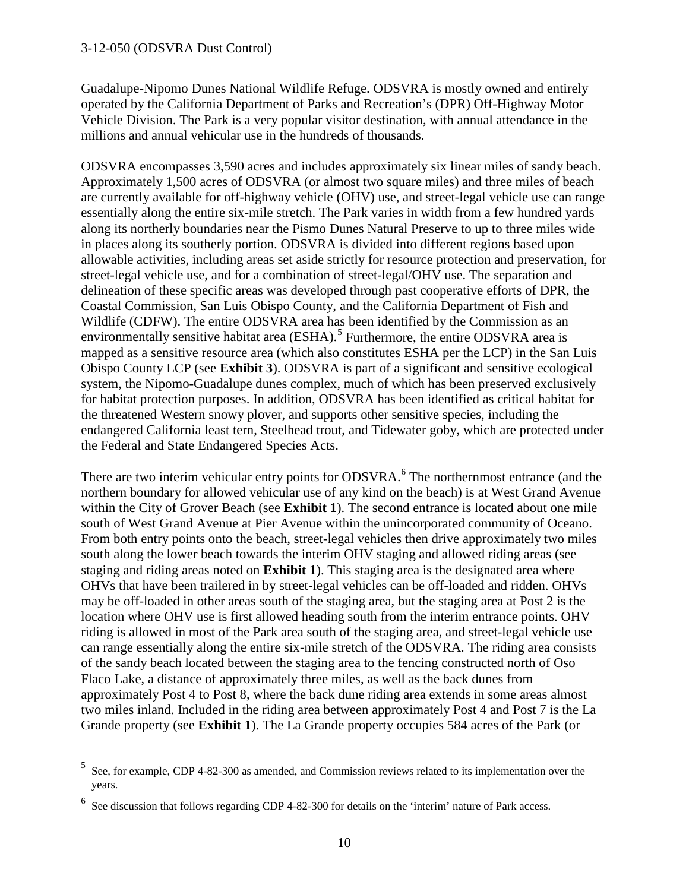$\overline{a}$ 

Guadalupe-Nipomo Dunes National Wildlife Refuge. ODSVRA is mostly owned and entirely operated by the California Department of Parks and Recreation's (DPR) Off-Highway Motor Vehicle Division. The Park is a very popular visitor destination, with annual attendance in the millions and annual vehicular use in the hundreds of thousands.

ODSVRA encompasses 3,590 acres and includes approximately six linear miles of sandy beach. Approximately 1,500 acres of ODSVRA (or almost two square miles) and three miles of beach are currently available for off-highway vehicle (OHV) use, and street-legal vehicle use can range essentially along the entire six-mile stretch. The Park varies in width from a few hundred yards along its northerly boundaries near the Pismo Dunes Natural Preserve to up to three miles wide in places along its southerly portion. ODSVRA is divided into different regions based upon allowable activities, including areas set aside strictly for resource protection and preservation, for street-legal vehicle use, and for a combination of street-legal/OHV use. The separation and delineation of these specific areas was developed through past cooperative efforts of DPR, the Coastal Commission, San Luis Obispo County, and the California Department of Fish and Wildlife (CDFW). The entire ODSVRA area has been identified by the Commission as an environmentally sensitive habitat area (ESHA).<sup>[5](#page-9-0)</sup> Furthermore, the entire ODSVRA area is mapped as a sensitive resource area (which also constitutes ESHA per the LCP) in the San Luis Obispo County LCP (see **Exhibit 3**). ODSVRA is part of a significant and sensitive ecological system, the Nipomo-Guadalupe dunes complex, much of which has been preserved exclusively for habitat protection purposes. In addition, ODSVRA has been identified as critical habitat for the threatened Western snowy plover, and supports other sensitive species, including the endangered California least tern, Steelhead trout, and Tidewater goby, which are protected under the Federal and State Endangered Species Acts.

There are two interim vehicular entry points for ODSVRA.<sup>[6](#page-9-1)</sup> The northernmost entrance (and the northern boundary for allowed vehicular use of any kind on the beach) is at West Grand Avenue within the City of Grover Beach (see **Exhibit 1**). The second entrance is located about one mile south of West Grand Avenue at Pier Avenue within the unincorporated community of Oceano. From both entry points onto the beach, street-legal vehicles then drive approximately two miles south along the lower beach towards the interim OHV staging and allowed riding areas (see staging and riding areas noted on **Exhibit 1**). This staging area is the designated area where OHVs that have been trailered in by street-legal vehicles can be off-loaded and ridden. OHVs may be off-loaded in other areas south of the staging area, but the staging area at Post 2 is the location where OHV use is first allowed heading south from the interim entrance points. OHV riding is allowed in most of the Park area south of the staging area, and street-legal vehicle use can range essentially along the entire six-mile stretch of the ODSVRA. The riding area consists of the sandy beach located between the staging area to the fencing constructed north of Oso Flaco Lake, a distance of approximately three miles, as well as the back dunes from approximately Post 4 to Post 8, where the back dune riding area extends in some areas almost two miles inland. Included in the riding area between approximately Post 4 and Post 7 is the La Grande property (see **Exhibit 1**). The La Grande property occupies 584 acres of the Park (or

<span id="page-9-0"></span><sup>5</sup> See, for example, CDP 4-82-300 as amended, and Commission reviews related to its implementation over the years.

<span id="page-9-1"></span><sup>&</sup>lt;sup>6</sup> See discussion that follows regarding CDP 4-82-300 for details on the 'interim' nature of Park access.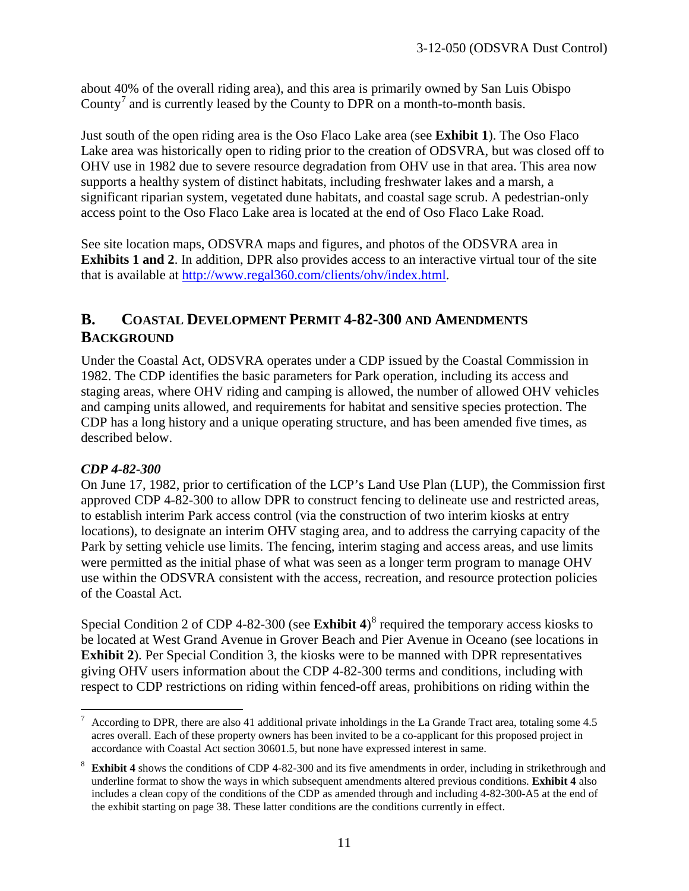about 40% of the overall riding area), and this area is primarily owned by San Luis Obispo County<sup>[7](#page-10-0)</sup> and is currently leased by the County to DPR on a month-to-month basis.

Just south of the open riding area is the Oso Flaco Lake area (see **Exhibit 1**). The Oso Flaco Lake area was historically open to riding prior to the creation of ODSVRA, but was closed off to OHV use in 1982 due to severe resource degradation from OHV use in that area. This area now supports a healthy system of distinct habitats, including freshwater lakes and a marsh, a significant riparian system, vegetated dune habitats, and coastal sage scrub. A pedestrian-only access point to the Oso Flaco Lake area is located at the end of Oso Flaco Lake Road.

See site location maps, ODSVRA maps and figures, and photos of the ODSVRA area in **Exhibits 1 and 2**. In addition, DPR also provides access to an interactive virtual tour of the site that is available at [http://www.regal360.com/clients/ohv/index.html.](http://www.regal360.com/clients/ohv/index.html)

## **B. COASTAL DEVELOPMENT PERMIT 4-82-300 AND AMENDMENTS BACKGROUND**

Under the Coastal Act, ODSVRA operates under a CDP issued by the Coastal Commission in 1982. The CDP identifies the basic parameters for Park operation, including its access and staging areas, where OHV riding and camping is allowed, the number of allowed OHV vehicles and camping units allowed, and requirements for habitat and sensitive species protection. The CDP has a long history and a unique operating structure, and has been amended five times, as described below.

#### *CDP 4-82-300*

On June 17, 1982, prior to certification of the LCP's Land Use Plan (LUP), the Commission first approved CDP 4-82-300 to allow DPR to construct fencing to delineate use and restricted areas, to establish interim Park access control (via the construction of two interim kiosks at entry locations), to designate an interim OHV staging area, and to address the carrying capacity of the Park by setting vehicle use limits. The fencing, interim staging and access areas, and use limits were permitted as the initial phase of what was seen as a longer term program to manage OHV use within the ODSVRA consistent with the access, recreation, and resource protection policies of the Coastal Act.

Special Condition 2 of CDP 4-[8](#page-10-1)2-300 (see Exhibit 4)<sup>8</sup> required the temporary access kiosks to be located at West Grand Avenue in Grover Beach and Pier Avenue in Oceano (see locations in **Exhibit 2**). Per Special Condition 3, the kiosks were to be manned with DPR representatives giving OHV users information about the CDP 4-82-300 terms and conditions, including with respect to CDP restrictions on riding within fenced-off areas, prohibitions on riding within the

<span id="page-10-0"></span> $\overline{a}$ 7 According to DPR, there are also 41 additional private inholdings in the La Grande Tract area, totaling some 4.5 acres overall. Each of these property owners has been invited to be a co-applicant for this proposed project in accordance with Coastal Act section 30601.5, but none have expressed interest in same.

<span id="page-10-1"></span><sup>&</sup>lt;sup>8</sup> Exhibit 4 shows the conditions of CDP 4-82-300 and its five amendments in order, including in strikethrough and underline format to show the ways in which subsequent amendments altered previous conditions. **Exhibit 4** also includes a clean copy of the conditions of the CDP as amended through and including 4-82-300-A5 at the end of the exhibit starting on page 38. These latter conditions are the conditions currently in effect.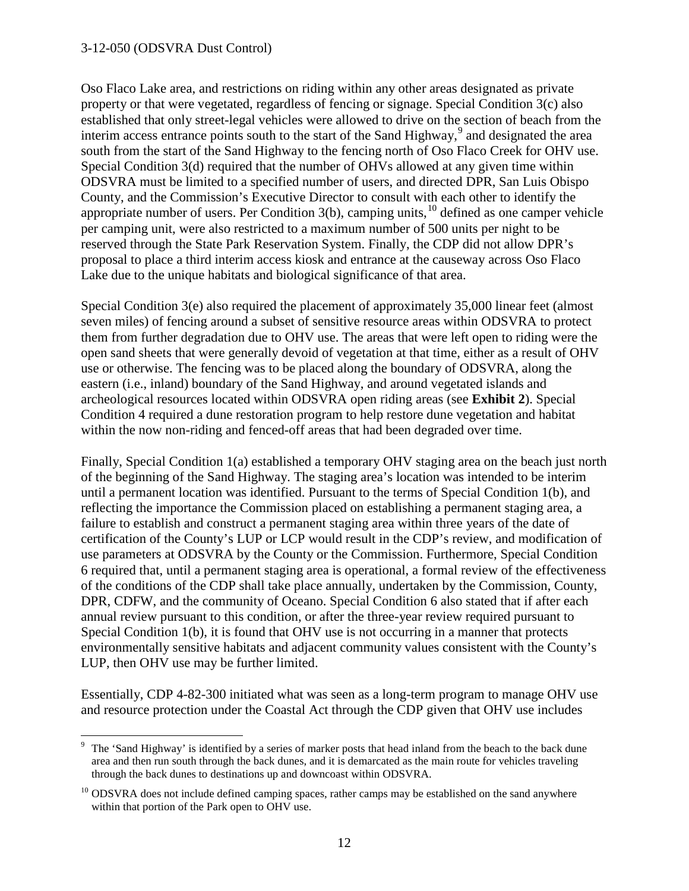$\overline{a}$ 

Oso Flaco Lake area, and restrictions on riding within any other areas designated as private property or that were vegetated, regardless of fencing or signage. Special Condition 3(c) also established that only street-legal vehicles were allowed to drive on the section of beach from the interim access entrance points south to the start of the Sand Highway,<sup>[9](#page-11-0)</sup> and designated the area south from the start of the Sand Highway to the fencing north of Oso Flaco Creek for OHV use. Special Condition 3(d) required that the number of OHVs allowed at any given time within ODSVRA must be limited to a specified number of users, and directed DPR, San Luis Obispo County, and the Commission's Executive Director to consult with each other to identify the appropriate number of users. Per Condition  $3(b)$ , camping units,  $10$  defined as one camper vehicle per camping unit, were also restricted to a maximum number of 500 units per night to be reserved through the State Park Reservation System. Finally, the CDP did not allow DPR's proposal to place a third interim access kiosk and entrance at the causeway across Oso Flaco Lake due to the unique habitats and biological significance of that area.

Special Condition 3(e) also required the placement of approximately 35,000 linear feet (almost seven miles) of fencing around a subset of sensitive resource areas within ODSVRA to protect them from further degradation due to OHV use. The areas that were left open to riding were the open sand sheets that were generally devoid of vegetation at that time, either as a result of OHV use or otherwise. The fencing was to be placed along the boundary of ODSVRA, along the eastern (i.e., inland) boundary of the Sand Highway, and around vegetated islands and archeological resources located within ODSVRA open riding areas (see **Exhibit 2**). Special Condition 4 required a dune restoration program to help restore dune vegetation and habitat within the now non-riding and fenced-off areas that had been degraded over time.

Finally, Special Condition 1(a) established a temporary OHV staging area on the beach just north of the beginning of the Sand Highway. The staging area's location was intended to be interim until a permanent location was identified. Pursuant to the terms of Special Condition 1(b), and reflecting the importance the Commission placed on establishing a permanent staging area, a failure to establish and construct a permanent staging area within three years of the date of certification of the County's LUP or LCP would result in the CDP's review, and modification of use parameters at ODSVRA by the County or the Commission. Furthermore, Special Condition 6 required that, until a permanent staging area is operational, a formal review of the effectiveness of the conditions of the CDP shall take place annually, undertaken by the Commission, County, DPR, CDFW, and the community of Oceano. Special Condition 6 also stated that if after each annual review pursuant to this condition, or after the three-year review required pursuant to Special Condition 1(b), it is found that OHV use is not occurring in a manner that protects environmentally sensitive habitats and adjacent community values consistent with the County's LUP, then OHV use may be further limited.

Essentially, CDP 4-82-300 initiated what was seen as a long-term program to manage OHV use and resource protection under the Coastal Act through the CDP given that OHV use includes

<span id="page-11-0"></span><sup>&</sup>lt;sup>9</sup> The 'Sand Highway' is identified by a series of marker posts that head inland from the beach to the back dune area and then run south through the back dunes, and it is demarcated as the main route for vehicles traveling through the back dunes to destinations up and downcoast within ODSVRA.

<span id="page-11-1"></span><sup>&</sup>lt;sup>10</sup> ODSVRA does not include defined camping spaces, rather camps may be established on the sand anywhere within that portion of the Park open to OHV use.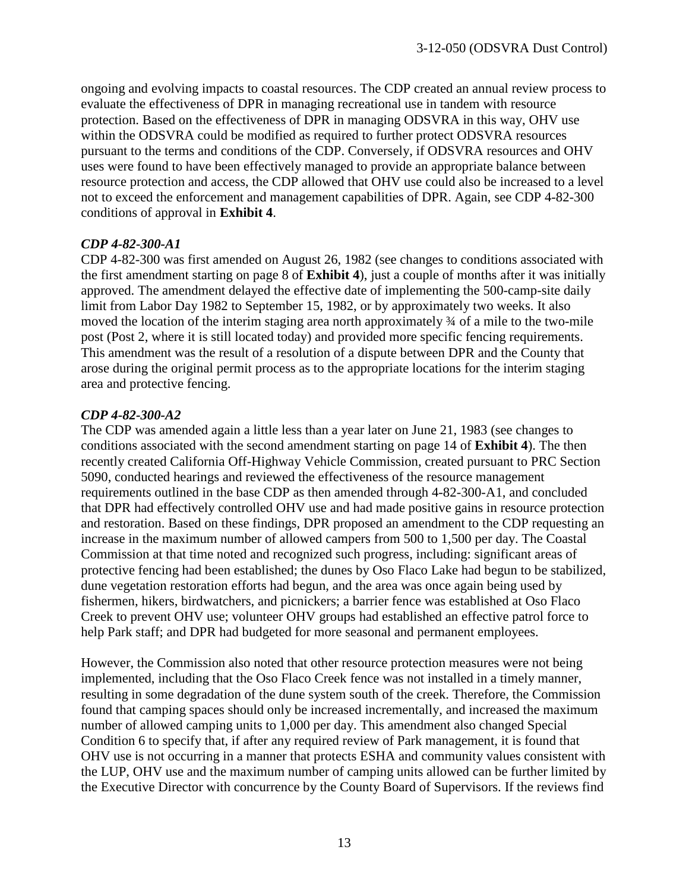ongoing and evolving impacts to coastal resources. The CDP created an annual review process to evaluate the effectiveness of DPR in managing recreational use in tandem with resource protection. Based on the effectiveness of DPR in managing ODSVRA in this way, OHV use within the ODSVRA could be modified as required to further protect ODSVRA resources pursuant to the terms and conditions of the CDP. Conversely, if ODSVRA resources and OHV uses were found to have been effectively managed to provide an appropriate balance between resource protection and access, the CDP allowed that OHV use could also be increased to a level not to exceed the enforcement and management capabilities of DPR. Again, see CDP 4-82-300 conditions of approval in **Exhibit 4**.

#### *CDP 4-82-300-A1*

CDP 4-82-300 was first amended on August 26, 1982 (see changes to conditions associated with the first amendment starting on page 8 of **Exhibit 4**), just a couple of months after it was initially approved. The amendment delayed the effective date of implementing the 500-camp-site daily limit from Labor Day 1982 to September 15, 1982, or by approximately two weeks. It also moved the location of the interim staging area north approximately ¾ of a mile to the two-mile post (Post 2, where it is still located today) and provided more specific fencing requirements. This amendment was the result of a resolution of a dispute between DPR and the County that arose during the original permit process as to the appropriate locations for the interim staging area and protective fencing.

#### *CDP 4-82-300-A2*

The CDP was amended again a little less than a year later on June 21, 1983 (see changes to conditions associated with the second amendment starting on page 14 of **Exhibit 4**). The then recently created California Off-Highway Vehicle Commission, created pursuant to PRC Section 5090, conducted hearings and reviewed the effectiveness of the resource management requirements outlined in the base CDP as then amended through 4-82-300-A1, and concluded that DPR had effectively controlled OHV use and had made positive gains in resource protection and restoration. Based on these findings, DPR proposed an amendment to the CDP requesting an increase in the maximum number of allowed campers from 500 to 1,500 per day. The Coastal Commission at that time noted and recognized such progress, including: significant areas of protective fencing had been established; the dunes by Oso Flaco Lake had begun to be stabilized, dune vegetation restoration efforts had begun, and the area was once again being used by fishermen, hikers, birdwatchers, and picnickers; a barrier fence was established at Oso Flaco Creek to prevent OHV use; volunteer OHV groups had established an effective patrol force to help Park staff; and DPR had budgeted for more seasonal and permanent employees.

However, the Commission also noted that other resource protection measures were not being implemented, including that the Oso Flaco Creek fence was not installed in a timely manner, resulting in some degradation of the dune system south of the creek. Therefore, the Commission found that camping spaces should only be increased incrementally, and increased the maximum number of allowed camping units to 1,000 per day. This amendment also changed Special Condition 6 to specify that, if after any required review of Park management, it is found that OHV use is not occurring in a manner that protects ESHA and community values consistent with the LUP, OHV use and the maximum number of camping units allowed can be further limited by the Executive Director with concurrence by the County Board of Supervisors. If the reviews find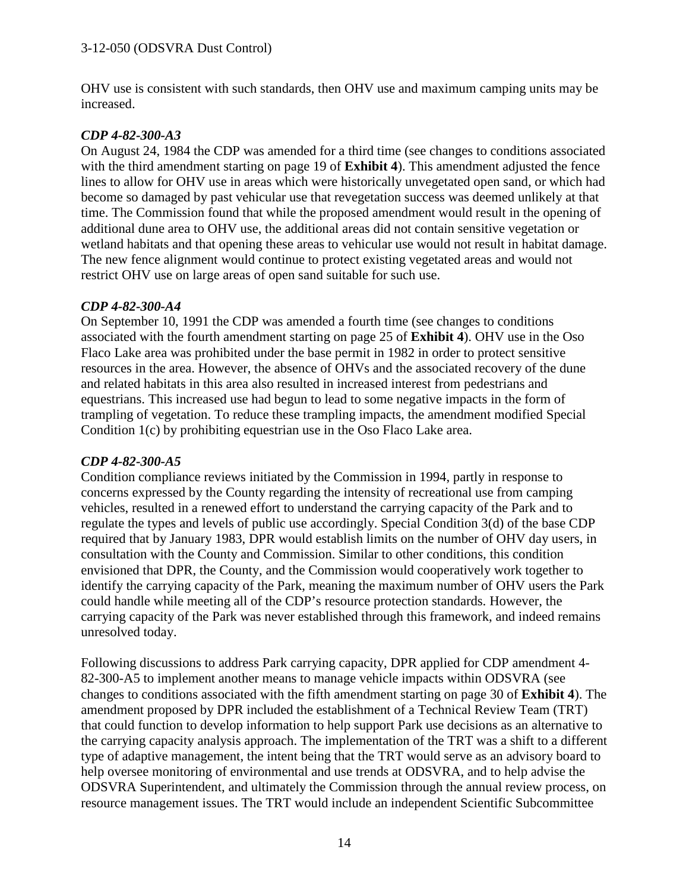OHV use is consistent with such standards, then OHV use and maximum camping units may be increased.

#### *CDP 4-82-300-A3*

On August 24, 1984 the CDP was amended for a third time (see changes to conditions associated with the third amendment starting on page 19 of **Exhibit 4**). This amendment adjusted the fence lines to allow for OHV use in areas which were historically unvegetated open sand, or which had become so damaged by past vehicular use that revegetation success was deemed unlikely at that time. The Commission found that while the proposed amendment would result in the opening of additional dune area to OHV use, the additional areas did not contain sensitive vegetation or wetland habitats and that opening these areas to vehicular use would not result in habitat damage. The new fence alignment would continue to protect existing vegetated areas and would not restrict OHV use on large areas of open sand suitable for such use.

#### *CDP 4-82-300-A4*

On September 10, 1991 the CDP was amended a fourth time (see changes to conditions associated with the fourth amendment starting on page 25 of **Exhibit 4**). OHV use in the Oso Flaco Lake area was prohibited under the base permit in 1982 in order to protect sensitive resources in the area. However, the absence of OHVs and the associated recovery of the dune and related habitats in this area also resulted in increased interest from pedestrians and equestrians. This increased use had begun to lead to some negative impacts in the form of trampling of vegetation. To reduce these trampling impacts, the amendment modified Special Condition 1(c) by prohibiting equestrian use in the Oso Flaco Lake area.

#### *CDP 4-82-300-A5*

Condition compliance reviews initiated by the Commission in 1994, partly in response to concerns expressed by the County regarding the intensity of recreational use from camping vehicles, resulted in a renewed effort to understand the carrying capacity of the Park and to regulate the types and levels of public use accordingly. Special Condition 3(d) of the base CDP required that by January 1983, DPR would establish limits on the number of OHV day users, in consultation with the County and Commission. Similar to other conditions, this condition envisioned that DPR, the County, and the Commission would cooperatively work together to identify the carrying capacity of the Park, meaning the maximum number of OHV users the Park could handle while meeting all of the CDP's resource protection standards. However, the carrying capacity of the Park was never established through this framework, and indeed remains unresolved today.

Following discussions to address Park carrying capacity, DPR applied for CDP amendment 4- 82-300-A5 to implement another means to manage vehicle impacts within ODSVRA (see changes to conditions associated with the fifth amendment starting on page 30 of **Exhibit 4**). The amendment proposed by DPR included the establishment of a Technical Review Team (TRT) that could function to develop information to help support Park use decisions as an alternative to the carrying capacity analysis approach. The implementation of the TRT was a shift to a different type of adaptive management, the intent being that the TRT would serve as an advisory board to help oversee monitoring of environmental and use trends at ODSVRA, and to help advise the ODSVRA Superintendent, and ultimately the Commission through the annual review process, on resource management issues. The TRT would include an independent Scientific Subcommittee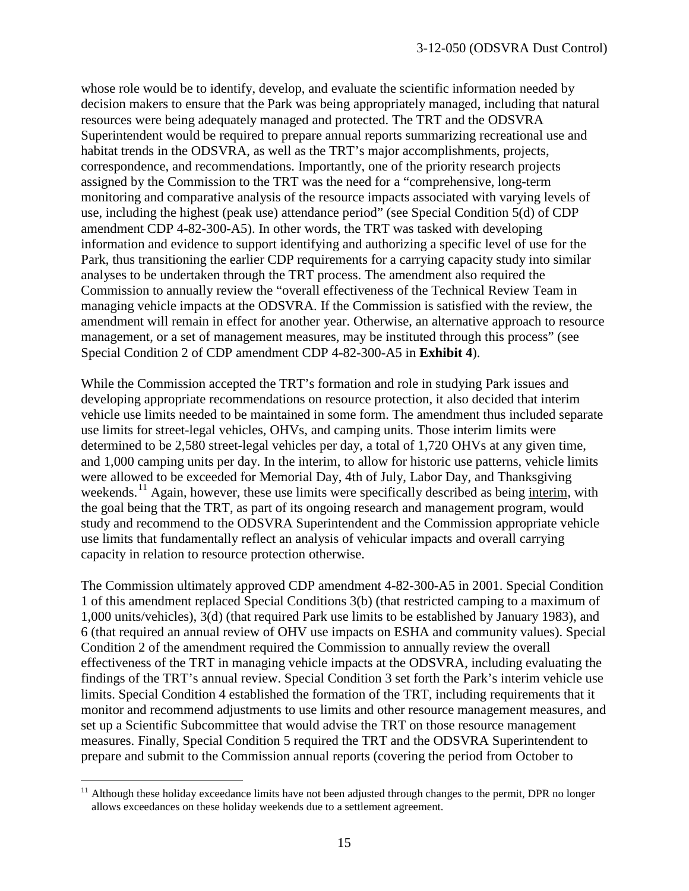whose role would be to identify, develop, and evaluate the scientific information needed by decision makers to ensure that the Park was being appropriately managed, including that natural resources were being adequately managed and protected. The TRT and the ODSVRA Superintendent would be required to prepare annual reports summarizing recreational use and habitat trends in the ODSVRA, as well as the TRT's major accomplishments, projects, correspondence, and recommendations. Importantly, one of the priority research projects assigned by the Commission to the TRT was the need for a "comprehensive, long-term monitoring and comparative analysis of the resource impacts associated with varying levels of use, including the highest (peak use) attendance period" (see Special Condition 5(d) of CDP amendment CDP 4-82-300-A5). In other words, the TRT was tasked with developing information and evidence to support identifying and authorizing a specific level of use for the Park, thus transitioning the earlier CDP requirements for a carrying capacity study into similar analyses to be undertaken through the TRT process. The amendment also required the Commission to annually review the "overall effectiveness of the Technical Review Team in managing vehicle impacts at the ODSVRA. If the Commission is satisfied with the review, the amendment will remain in effect for another year. Otherwise, an alternative approach to resource management, or a set of management measures, may be instituted through this process" (see Special Condition 2 of CDP amendment CDP 4-82-300-A5 in **Exhibit 4**).

While the Commission accepted the TRT's formation and role in studying Park issues and developing appropriate recommendations on resource protection, it also decided that interim vehicle use limits needed to be maintained in some form. The amendment thus included separate use limits for street-legal vehicles, OHVs, and camping units. Those interim limits were determined to be 2,580 street-legal vehicles per day, a total of 1,720 OHVs at any given time, and 1,000 camping units per day. In the interim, to allow for historic use patterns, vehicle limits were allowed to be exceeded for Memorial Day, 4th of July, Labor Day, and Thanksgiving weekends.<sup>[11](#page-14-0)</sup> Again, however, these use limits were specifically described as being interim, with the goal being that the TRT, as part of its ongoing research and management program, would study and recommend to the ODSVRA Superintendent and the Commission appropriate vehicle use limits that fundamentally reflect an analysis of vehicular impacts and overall carrying capacity in relation to resource protection otherwise.

The Commission ultimately approved CDP amendment 4-82-300-A5 in 2001. Special Condition 1 of this amendment replaced Special Conditions 3(b) (that restricted camping to a maximum of 1,000 units/vehicles), 3(d) (that required Park use limits to be established by January 1983), and 6 (that required an annual review of OHV use impacts on ESHA and community values). Special Condition 2 of the amendment required the Commission to annually review the overall effectiveness of the TRT in managing vehicle impacts at the ODSVRA, including evaluating the findings of the TRT's annual review. Special Condition 3 set forth the Park's interim vehicle use limits. Special Condition 4 established the formation of the TRT, including requirements that it monitor and recommend adjustments to use limits and other resource management measures, and set up a Scientific Subcommittee that would advise the TRT on those resource management measures. Finally, Special Condition 5 required the TRT and the ODSVRA Superintendent to prepare and submit to the Commission annual reports (covering the period from October to

 $\overline{a}$ 

<span id="page-14-0"></span> $11$  Although these holiday exceedance limits have not been adjusted through changes to the permit, DPR no longer allows exceedances on these holiday weekends due to a settlement agreement.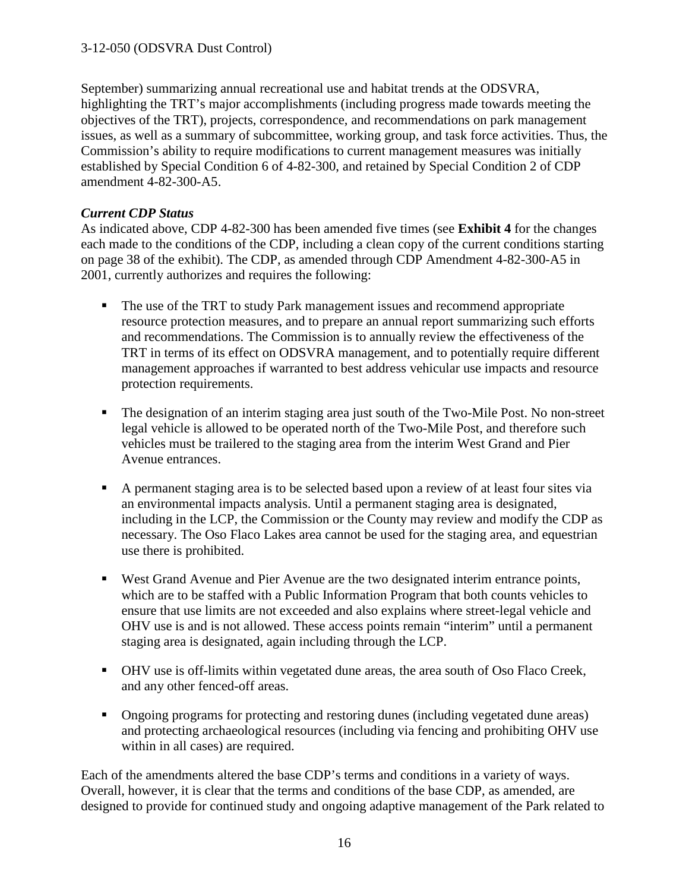September) summarizing annual recreational use and habitat trends at the ODSVRA, highlighting the TRT's major accomplishments (including progress made towards meeting the objectives of the TRT), projects, correspondence, and recommendations on park management issues, as well as a summary of subcommittee, working group, and task force activities. Thus, the Commission's ability to require modifications to current management measures was initially established by Special Condition 6 of 4-82-300, and retained by Special Condition 2 of CDP amendment 4-82-300-A5.

#### *Current CDP Status*

As indicated above, CDP 4-82-300 has been amended five times (see **Exhibit 4** for the changes each made to the conditions of the CDP, including a clean copy of the current conditions starting on page 38 of the exhibit). The CDP, as amended through CDP Amendment 4-82-300-A5 in 2001, currently authorizes and requires the following:

- The use of the TRT to study Park management issues and recommend appropriate resource protection measures, and to prepare an annual report summarizing such efforts and recommendations. The Commission is to annually review the effectiveness of the TRT in terms of its effect on ODSVRA management, and to potentially require different management approaches if warranted to best address vehicular use impacts and resource protection requirements.
- The designation of an interim staging area just south of the Two-Mile Post. No non-street legal vehicle is allowed to be operated north of the Two-Mile Post, and therefore such vehicles must be trailered to the staging area from the interim West Grand and Pier Avenue entrances.
- A permanent staging area is to be selected based upon a review of at least four sites via an environmental impacts analysis. Until a permanent staging area is designated, including in the LCP, the Commission or the County may review and modify the CDP as necessary. The Oso Flaco Lakes area cannot be used for the staging area, and equestrian use there is prohibited.
- West Grand Avenue and Pier Avenue are the two designated interim entrance points, which are to be staffed with a Public Information Program that both counts vehicles to ensure that use limits are not exceeded and also explains where street-legal vehicle and OHV use is and is not allowed. These access points remain "interim" until a permanent staging area is designated, again including through the LCP.
- OHV use is off-limits within vegetated dune areas, the area south of Oso Flaco Creek, and any other fenced-off areas.
- Ongoing programs for protecting and restoring dunes (including vegetated dune areas) and protecting archaeological resources (including via fencing and prohibiting OHV use within in all cases) are required.

Each of the amendments altered the base CDP's terms and conditions in a variety of ways. Overall, however, it is clear that the terms and conditions of the base CDP, as amended, are designed to provide for continued study and ongoing adaptive management of the Park related to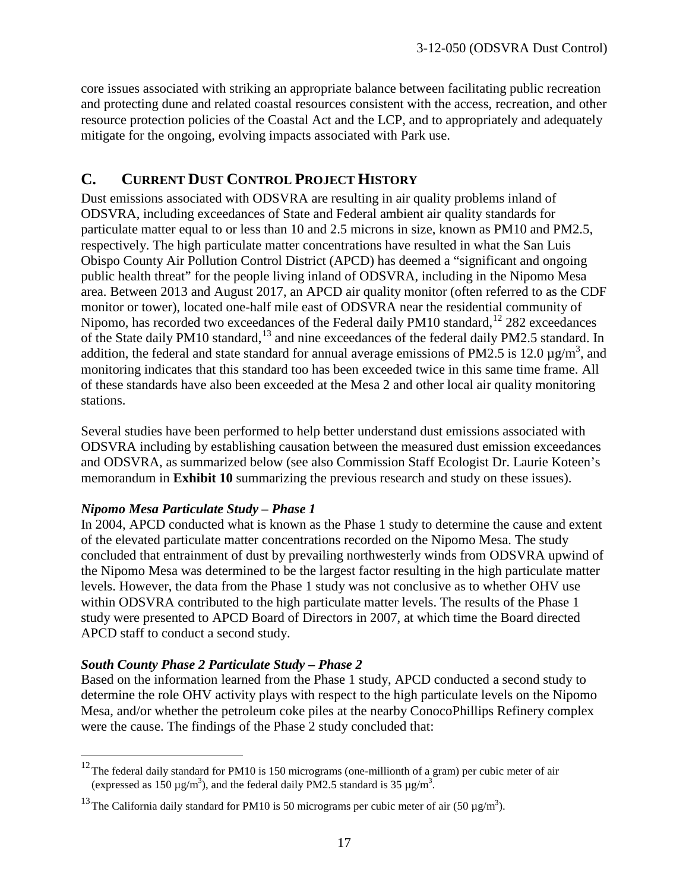core issues associated with striking an appropriate balance between facilitating public recreation and protecting dune and related coastal resources consistent with the access, recreation, and other resource protection policies of the Coastal Act and the LCP, and to appropriately and adequately mitigate for the ongoing, evolving impacts associated with Park use.

#### **C. CURRENT DUST CONTROL PROJECT HISTORY**

Dust emissions associated with ODSVRA are resulting in air quality problems inland of ODSVRA, including exceedances of State and Federal ambient air quality standards for particulate matter equal to or less than 10 and 2.5 microns in size, known as PM10 and PM2.5, respectively. The high particulate matter concentrations have resulted in what the San Luis Obispo County Air Pollution Control District (APCD) has deemed a "significant and ongoing public health threat" for the people living inland of ODSVRA, including in the Nipomo Mesa area. Between 2013 and August 2017, an APCD air quality monitor (often referred to as the CDF monitor or tower), located one-half mile east of ODSVRA near the residential community of Nipomo, has recorded two exceedances of the Federal daily PM10 standard, <sup>[12](#page-16-0)</sup> 282 exceedances of the State daily PM10 standard,<sup>[13](#page-16-1)</sup> and nine exceedances of the federal daily PM2.5 standard. In addition, the federal and state standard for annual average emissions of PM2.5 is 12.0  $\mu$ g/m<sup>3</sup>, and monitoring indicates that this standard too has been exceeded twice in this same time frame. All of these standards have also been exceeded at the Mesa 2 and other local air quality monitoring stations.

Several studies have been performed to help better understand dust emissions associated with ODSVRA including by establishing causation between the measured dust emission exceedances and ODSVRA, as summarized below (see also Commission Staff Ecologist Dr. Laurie Koteen's memorandum in **Exhibit 10** summarizing the previous research and study on these issues).

#### *Nipomo Mesa Particulate Study – Phase 1*

In 2004, APCD conducted what is known as the Phase 1 study to determine the cause and extent of the elevated particulate matter concentrations recorded on the Nipomo Mesa. The study concluded that entrainment of dust by prevailing northwesterly winds from ODSVRA upwind of the Nipomo Mesa was determined to be the largest factor resulting in the high particulate matter levels. However, the data from the Phase 1 study was not conclusive as to whether OHV use within ODSVRA contributed to the high particulate matter levels. The results of the Phase 1 study were presented to APCD Board of Directors in 2007, at which time the Board directed APCD staff to conduct a second study.

#### *South County Phase 2 Particulate Study – Phase 2*

 $\overline{a}$ 

Based on the information learned from the Phase 1 study, APCD conducted a second study to determine the role OHV activity plays with respect to the high particulate levels on the Nipomo Mesa, and/or whether the petroleum coke piles at the nearby ConocoPhillips Refinery complex were the cause. The findings of the Phase 2 study concluded that:

<span id="page-16-0"></span> $12$ The federal daily standard for PM10 is 150 micrograms (one-millionth of a gram) per cubic meter of air (expressed as 150  $\mu$ g/m<sup>3</sup>), and the federal daily PM2.5 standard is 35  $\mu$ g/m<sup>3</sup>.

<span id="page-16-1"></span><sup>&</sup>lt;sup>13</sup> The California daily standard for PM10 is 50 micrograms per cubic meter of air (50  $\mu$ g/m<sup>3</sup>).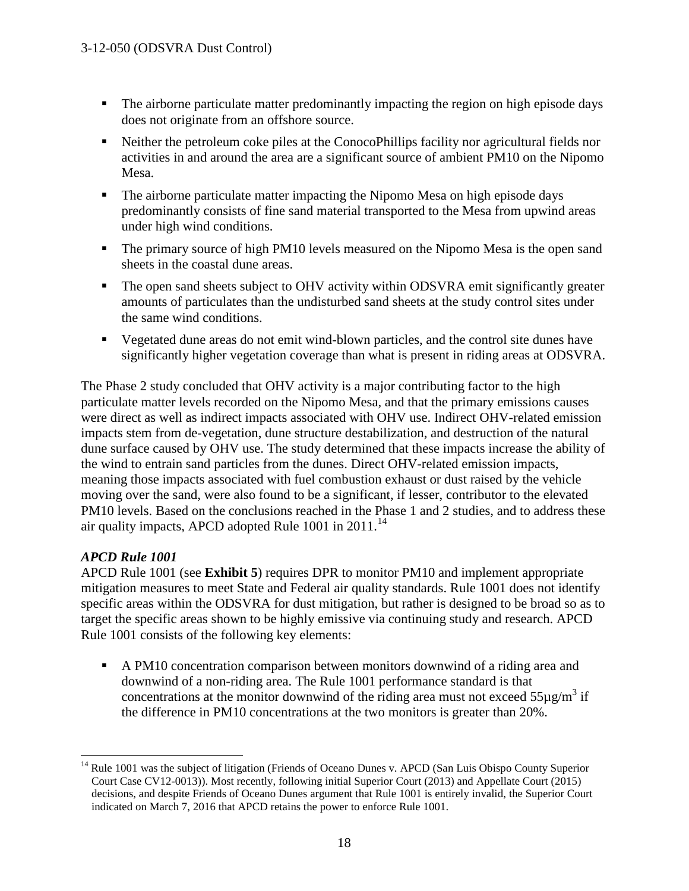- The airborne particulate matter predominantly impacting the region on high episode days does not originate from an offshore source.
- Neither the petroleum coke piles at the ConocoPhillips facility nor agricultural fields nor activities in and around the area are a significant source of ambient PM10 on the Nipomo Mesa.
- The airborne particulate matter impacting the Nipomo Mesa on high episode days predominantly consists of fine sand material transported to the Mesa from upwind areas under high wind conditions.
- The primary source of high PM10 levels measured on the Nipomo Mesa is the open sand sheets in the coastal dune areas.
- The open sand sheets subject to OHV activity within ODSVRA emit significantly greater amounts of particulates than the undisturbed sand sheets at the study control sites under the same wind conditions.
- Vegetated dune areas do not emit wind-blown particles, and the control site dunes have significantly higher vegetation coverage than what is present in riding areas at ODSVRA.

The Phase 2 study concluded that OHV activity is a major contributing factor to the high particulate matter levels recorded on the Nipomo Mesa, and that the primary emissions causes were direct as well as indirect impacts associated with OHV use. Indirect OHV-related emission impacts stem from de-vegetation, dune structure destabilization, and destruction of the natural dune surface caused by OHV use. The study determined that these impacts increase the ability of the wind to entrain sand particles from the dunes. Direct OHV-related emission impacts, meaning those impacts associated with fuel combustion exhaust or dust raised by the vehicle moving over the sand, were also found to be a significant, if lesser, contributor to the elevated PM10 levels. Based on the conclusions reached in the Phase 1 and 2 studies, and to address these air quality impacts, APCD adopted Rule  $1001$  in  $2011$ .<sup>[14](#page-17-0)</sup>

#### *APCD Rule 1001*

 $\overline{a}$ 

APCD Rule 1001 (see **Exhibit 5**) requires DPR to monitor PM10 and implement appropriate mitigation measures to meet State and Federal air quality standards. Rule 1001 does not identify specific areas within the ODSVRA for dust mitigation, but rather is designed to be broad so as to target the specific areas shown to be highly emissive via continuing study and research. APCD Rule 1001 consists of the following key elements:

A PM10 concentration comparison between monitors downwind of a riding area and downwind of a non-riding area. The Rule 1001 performance standard is that concentrations at the monitor downwind of the riding area must not exceed  $55\mu g/m^3$  if the difference in PM10 concentrations at the two monitors is greater than 20%.

<span id="page-17-0"></span><sup>&</sup>lt;sup>14</sup> Rule 1001 was the subject of litigation (Friends of Oceano Dunes v. APCD (San Luis Obispo County Superior Court Case CV12-0013)). Most recently, following initial Superior Court (2013) and Appellate Court (2015) decisions, and despite Friends of Oceano Dunes argument that Rule 1001 is entirely invalid, the Superior Court indicated on March 7, 2016 that APCD retains the power to enforce Rule 1001.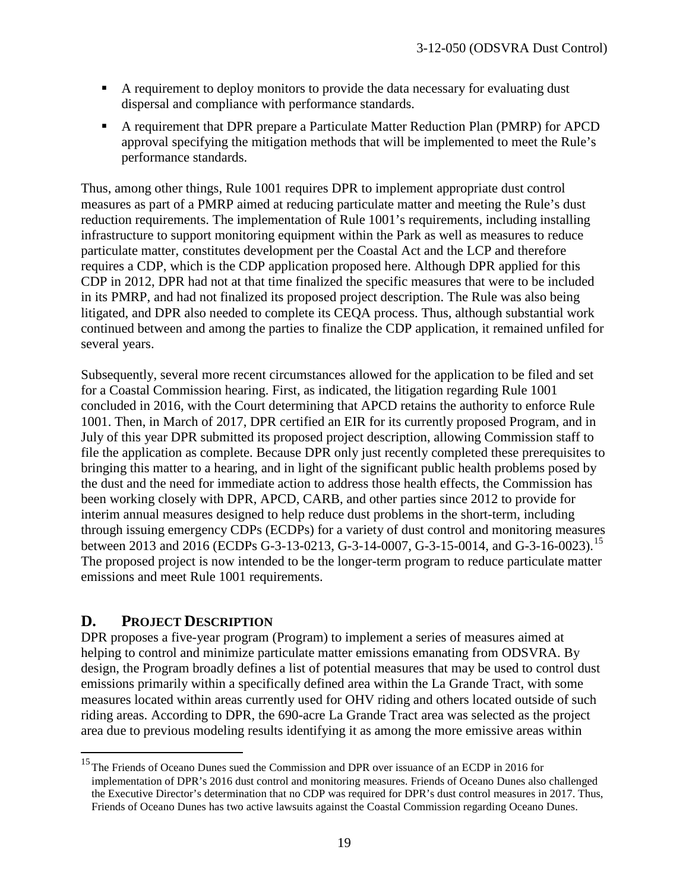- A requirement to deploy monitors to provide the data necessary for evaluating dust dispersal and compliance with performance standards.
- A requirement that DPR prepare a Particulate Matter Reduction Plan (PMRP) for APCD approval specifying the mitigation methods that will be implemented to meet the Rule's performance standards.

Thus, among other things, Rule 1001 requires DPR to implement appropriate dust control measures as part of a PMRP aimed at reducing particulate matter and meeting the Rule's dust reduction requirements. The implementation of Rule 1001's requirements, including installing infrastructure to support monitoring equipment within the Park as well as measures to reduce particulate matter, constitutes development per the Coastal Act and the LCP and therefore requires a CDP, which is the CDP application proposed here. Although DPR applied for this CDP in 2012, DPR had not at that time finalized the specific measures that were to be included in its PMRP, and had not finalized its proposed project description. The Rule was also being litigated, and DPR also needed to complete its CEQA process. Thus, although substantial work continued between and among the parties to finalize the CDP application, it remained unfiled for several years.

Subsequently, several more recent circumstances allowed for the application to be filed and set for a Coastal Commission hearing. First, as indicated, the litigation regarding Rule 1001 concluded in 2016, with the Court determining that APCD retains the authority to enforce Rule 1001. Then, in March of 2017, DPR certified an EIR for its currently proposed Program, and in July of this year DPR submitted its proposed project description, allowing Commission staff to file the application as complete. Because DPR only just recently completed these prerequisites to bringing this matter to a hearing, and in light of the significant public health problems posed by the dust and the need for immediate action to address those health effects, the Commission has been working closely with DPR, APCD, CARB, and other parties since 2012 to provide for interim annual measures designed to help reduce dust problems in the short-term, including through issuing emergency CDPs (ECDPs) for a variety of dust control and monitoring measures between 2013 and 2016 (ECDPs G-3-13-0213, G-3-14-0007, G-3-[15](#page-18-0)-0014, and G-3-16-0023).<sup>15</sup> The proposed project is now intended to be the longer-term program to reduce particulate matter emissions and meet Rule 1001 requirements.

## **D. PROJECT DESCRIPTION**

 $\overline{a}$ 

DPR proposes a five-year program (Program) to implement a series of measures aimed at helping to control and minimize particulate matter emissions emanating from ODSVRA. By design, the Program broadly defines a list of potential measures that may be used to control dust emissions primarily within a specifically defined area within the La Grande Tract, with some measures located within areas currently used for OHV riding and others located outside of such riding areas. According to DPR, the 690-acre La Grande Tract area was selected as the project area due to previous modeling results identifying it as among the more emissive areas within

<span id="page-18-0"></span><sup>&</sup>lt;sup>15</sup>The Friends of Oceano Dunes sued the Commission and DPR over issuance of an ECDP in 2016 for implementation of DPR's 2016 dust control and monitoring measures. Friends of Oceano Dunes also challenged the Executive Director's determination that no CDP was required for DPR's dust control measures in 2017. Thus, Friends of Oceano Dunes has two active lawsuits against the Coastal Commission regarding Oceano Dunes.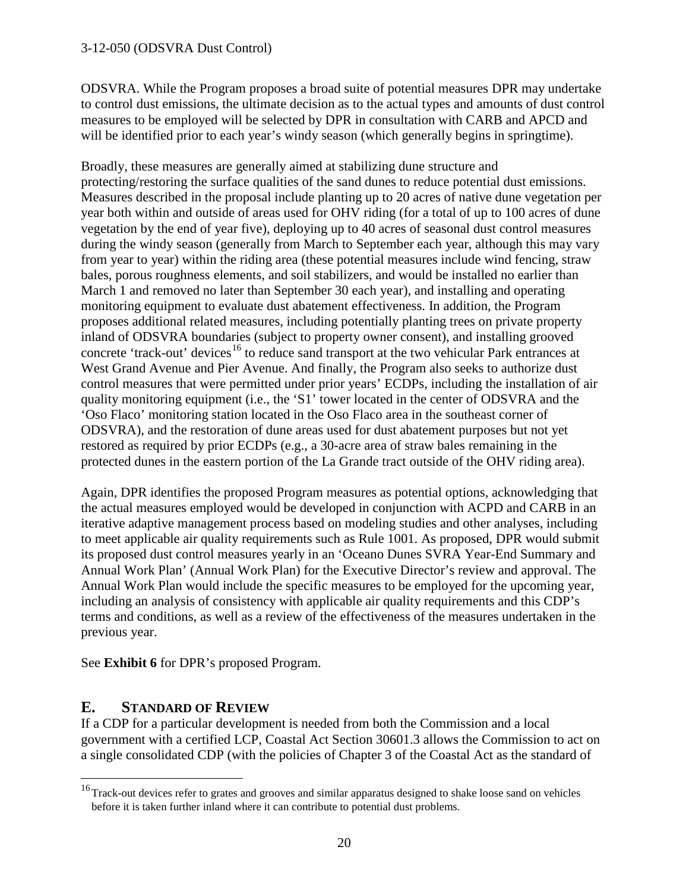ODSVRA. While the Program proposes a broad suite of potential measures DPR may undertake to control dust emissions, the ultimate decision as to the actual types and amounts of dust control measures to be employed will be selected by DPR in consultation with CARB and APCD and will be identified prior to each year's windy season (which generally begins in springtime).

Broadly, these measures are generally aimed at stabilizing dune structure and protecting/restoring the surface qualities of the sand dunes to reduce potential dust emissions. Measures described in the proposal include planting up to 20 acres of native dune vegetation per year both within and outside of areas used for OHV riding (for a total of up to 100 acres of dune vegetation by the end of year five), deploying up to 40 acres of seasonal dust control measures during the windy season (generally from March to September each year, although this may vary from year to year) within the riding area (these potential measures include wind fencing, straw bales, porous roughness elements, and soil stabilizers, and would be installed no earlier than March 1 and removed no later than September 30 each year), and installing and operating monitoring equipment to evaluate dust abatement effectiveness. In addition, the Program proposes additional related measures, including potentially planting trees on private property inland of ODSVRA boundaries (subject to property owner consent), and installing grooved concrete 'track-out' devices<sup>16</sup> to reduce sand transport at the two vehicular Park entrances at West Grand Avenue and Pier Avenue. And finally, the Program also seeks to authorize dust control measures that were permitted under prior years' ECDPs, including the installation of air quality monitoring equipment (i.e., the 'S1' tower located in the center of ODSVRA and the 'Oso Flaco' monitoring station located in the Oso Flaco area in the southeast corner of ODSVRA), and the restoration of dune areas used for dust abatement purposes but not yet restored as required by prior ECDPs (e.g., a 30-acre area of straw bales remaining in the protected dunes in the eastern portion of the La Grande tract outside of the OHV riding area).

Again, DPR identifies the proposed Program measures as potential options, acknowledging that the actual measures employed would be developed in conjunction with ACPD and CARB in an iterative adaptive management process based on modeling studies and other analyses, including to meet applicable air quality requirements such as Rule 1001. As proposed, DPR would submit its proposed dust control measures yearly in an 'Oceano Dunes SVRA Year-End Summary and Annual Work Plan' (Annual Work Plan) for the Executive Director's review and approval. The Annual Work Plan would include the specific measures to be employed for the upcoming year, including an analysis of consistency with applicable air quality requirements and this CDP's terms and conditions, as well as a review of the effectiveness of the measures undertaken in the previous year.

See **Exhibit 6** for DPR's proposed Program.

#### **E. STANDARD OF REVIEW**

 $\overline{a}$ 

If a CDP for a particular development is needed from both the Commission and a local government with a certified LCP, Coastal Act Section 30601.3 allows the Commission to act on a single consolidated CDP (with the policies of Chapter 3 of the Coastal Act as the standard of

<span id="page-19-0"></span><sup>&</sup>lt;sup>16</sup> Track-out devices refer to grates and grooves and similar apparatus designed to shake loose sand on vehicles before it is taken further inland where it can contribute to potential dust problems.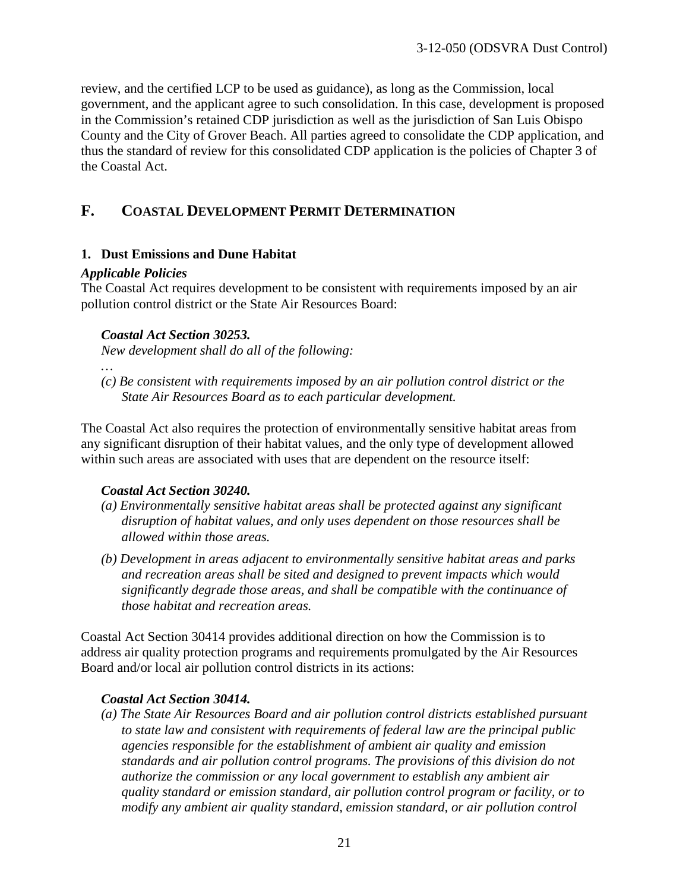review, and the certified LCP to be used as guidance), as long as the Commission, local government, and the applicant agree to such consolidation. In this case, development is proposed in the Commission's retained CDP jurisdiction as well as the jurisdiction of San Luis Obispo County and the City of Grover Beach. All parties agreed to consolidate the CDP application, and thus the standard of review for this consolidated CDP application is the policies of Chapter 3 of the Coastal Act.

#### **F. COASTAL DEVELOPMENT PERMIT DETERMINATION**

#### **1. Dust Emissions and Dune Habitat**

#### *Applicable Policies*

The Coastal Act requires development to be consistent with requirements imposed by an air pollution control district or the State Air Resources Board:

#### *Coastal Act Section 30253.*

*New development shall do all of the following:* 

*… (c) Be consistent with requirements imposed by an air pollution control district or the State Air Resources Board as to each particular development.* 

The Coastal Act also requires the protection of environmentally sensitive habitat areas from any significant disruption of their habitat values, and the only type of development allowed within such areas are associated with uses that are dependent on the resource itself:

#### *Coastal Act Section 30240.*

- *(a) Environmentally sensitive habitat areas shall be protected against any significant disruption of habitat values, and only uses dependent on those resources shall be allowed within those areas.*
- *(b) Development in areas adjacent to environmentally sensitive habitat areas and parks and recreation areas shall be sited and designed to prevent impacts which would significantly degrade those areas, and shall be compatible with the continuance of those habitat and recreation areas.*

Coastal Act Section 30414 provides additional direction on how the Commission is to address air quality protection programs and requirements promulgated by the Air Resources Board and/or local air pollution control districts in its actions:

#### *Coastal Act Section 30414.*

*(a) The State Air Resources Board and air pollution control districts established pursuant to state law and consistent with requirements of federal law are the principal public agencies responsible for the establishment of ambient air quality and emission standards and air pollution control programs. The provisions of this division do not authorize the commission or any local government to establish any ambient air quality standard or emission standard, air pollution control program or facility, or to modify any ambient air quality standard, emission standard, or air pollution control*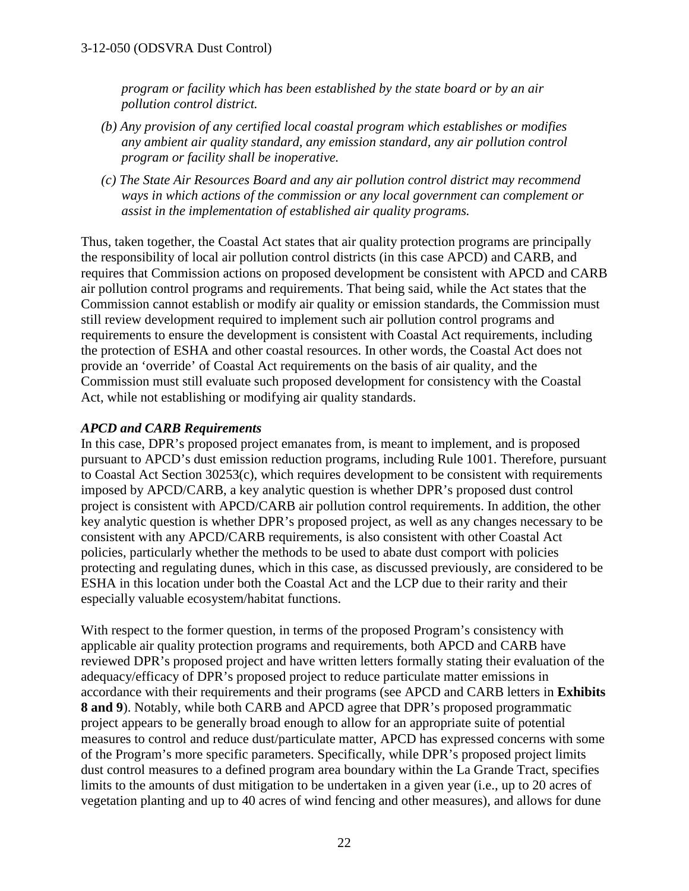*program or facility which has been established by the state board or by an air pollution control district.* 

- *(b) Any provision of any certified local coastal program which establishes or modifies any ambient air quality standard, any emission standard, any air pollution control program or facility shall be inoperative.*
- *(c) The State Air Resources Board and any air pollution control district may recommend ways in which actions of the commission or any local government can complement or assist in the implementation of established air quality programs.*

Thus, taken together, the Coastal Act states that air quality protection programs are principally the responsibility of local air pollution control districts (in this case APCD) and CARB, and requires that Commission actions on proposed development be consistent with APCD and CARB air pollution control programs and requirements. That being said, while the Act states that the Commission cannot establish or modify air quality or emission standards, the Commission must still review development required to implement such air pollution control programs and requirements to ensure the development is consistent with Coastal Act requirements, including the protection of ESHA and other coastal resources. In other words, the Coastal Act does not provide an 'override' of Coastal Act requirements on the basis of air quality, and the Commission must still evaluate such proposed development for consistency with the Coastal Act, while not establishing or modifying air quality standards.

#### *APCD and CARB Requirements*

In this case, DPR's proposed project emanates from, is meant to implement, and is proposed pursuant to APCD's dust emission reduction programs, including Rule 1001. Therefore, pursuant to Coastal Act Section 30253(c), which requires development to be consistent with requirements imposed by APCD/CARB, a key analytic question is whether DPR's proposed dust control project is consistent with APCD/CARB air pollution control requirements. In addition, the other key analytic question is whether DPR's proposed project, as well as any changes necessary to be consistent with any APCD/CARB requirements, is also consistent with other Coastal Act policies, particularly whether the methods to be used to abate dust comport with policies protecting and regulating dunes, which in this case, as discussed previously, are considered to be ESHA in this location under both the Coastal Act and the LCP due to their rarity and their especially valuable ecosystem/habitat functions.

With respect to the former question, in terms of the proposed Program's consistency with applicable air quality protection programs and requirements, both APCD and CARB have reviewed DPR's proposed project and have written letters formally stating their evaluation of the adequacy/efficacy of DPR's proposed project to reduce particulate matter emissions in accordance with their requirements and their programs (see APCD and CARB letters in **Exhibits 8 and 9**). Notably, while both CARB and APCD agree that DPR's proposed programmatic project appears to be generally broad enough to allow for an appropriate suite of potential measures to control and reduce dust/particulate matter, APCD has expressed concerns with some of the Program's more specific parameters. Specifically, while DPR's proposed project limits dust control measures to a defined program area boundary within the La Grande Tract, specifies limits to the amounts of dust mitigation to be undertaken in a given year (i.e., up to 20 acres of vegetation planting and up to 40 acres of wind fencing and other measures), and allows for dune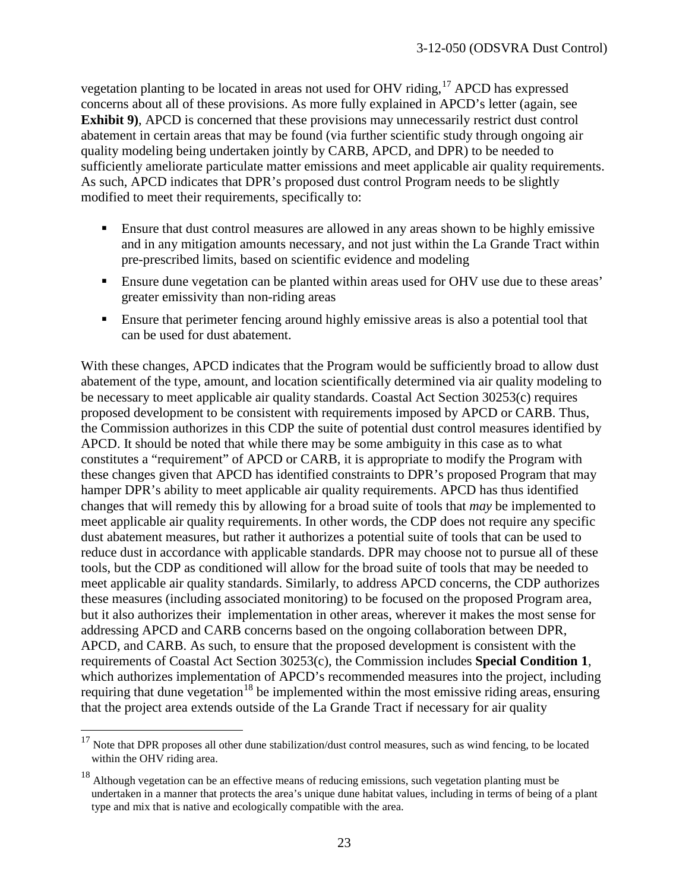vegetation planting to be located in areas not used for OHV riding,[17](#page-22-0) APCD has expressed concerns about all of these provisions. As more fully explained in APCD's letter (again, see **Exhibit 9)**, APCD is concerned that these provisions may unnecessarily restrict dust control abatement in certain areas that may be found (via further scientific study through ongoing air quality modeling being undertaken jointly by CARB, APCD, and DPR) to be needed to sufficiently ameliorate particulate matter emissions and meet applicable air quality requirements. As such, APCD indicates that DPR's proposed dust control Program needs to be slightly modified to meet their requirements, specifically to:

- Ensure that dust control measures are allowed in any areas shown to be highly emissive and in any mitigation amounts necessary, and not just within the La Grande Tract within pre-prescribed limits, based on scientific evidence and modeling
- Ensure dune vegetation can be planted within areas used for OHV use due to these areas' greater emissivity than non-riding areas
- Ensure that perimeter fencing around highly emissive areas is also a potential tool that can be used for dust abatement.

With these changes, APCD indicates that the Program would be sufficiently broad to allow dust abatement of the type, amount, and location scientifically determined via air quality modeling to be necessary to meet applicable air quality standards. Coastal Act Section 30253(c) requires proposed development to be consistent with requirements imposed by APCD or CARB. Thus, the Commission authorizes in this CDP the suite of potential dust control measures identified by APCD. It should be noted that while there may be some ambiguity in this case as to what constitutes a "requirement" of APCD or CARB, it is appropriate to modify the Program with these changes given that APCD has identified constraints to DPR's proposed Program that may hamper DPR's ability to meet applicable air quality requirements. APCD has thus identified changes that will remedy this by allowing for a broad suite of tools that *may* be implemented to meet applicable air quality requirements. In other words, the CDP does not require any specific dust abatement measures, but rather it authorizes a potential suite of tools that can be used to reduce dust in accordance with applicable standards. DPR may choose not to pursue all of these tools, but the CDP as conditioned will allow for the broad suite of tools that may be needed to meet applicable air quality standards. Similarly, to address APCD concerns, the CDP authorizes these measures (including associated monitoring) to be focused on the proposed Program area, but it also authorizes their implementation in other areas, wherever it makes the most sense for addressing APCD and CARB concerns based on the ongoing collaboration between DPR, APCD, and CARB. As such, to ensure that the proposed development is consistent with the requirements of Coastal Act Section 30253(c), the Commission includes **Special Condition 1**, which authorizes implementation of APCD's recommended measures into the project, including requiring that dune vegetation<sup>[18](#page-22-1)</sup> be implemented within the most emissive riding areas, ensuring that the project area extends outside of the La Grande Tract if necessary for air quality

 $\overline{a}$ 

<span id="page-22-0"></span> $17$  Note that DPR proposes all other dune stabilization/dust control measures, such as wind fencing, to be located within the OHV riding area.

<span id="page-22-1"></span><sup>&</sup>lt;sup>18</sup> Although vegetation can be an effective means of reducing emissions, such vegetation planting must be undertaken in a manner that protects the area's unique dune habitat values, including in terms of being of a plant type and mix that is native and ecologically compatible with the area.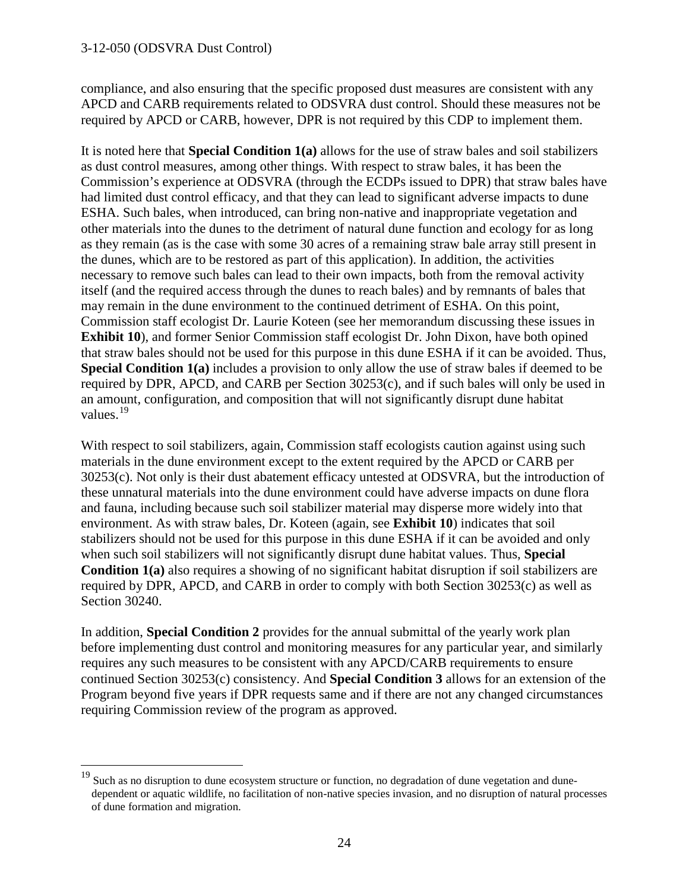$\overline{a}$ 

compliance, and also ensuring that the specific proposed dust measures are consistent with any APCD and CARB requirements related to ODSVRA dust control. Should these measures not be required by APCD or CARB, however, DPR is not required by this CDP to implement them.

It is noted here that **Special Condition 1(a)** allows for the use of straw bales and soil stabilizers as dust control measures, among other things. With respect to straw bales, it has been the Commission's experience at ODSVRA (through the ECDPs issued to DPR) that straw bales have had limited dust control efficacy, and that they can lead to significant adverse impacts to dune ESHA. Such bales, when introduced, can bring non-native and inappropriate vegetation and other materials into the dunes to the detriment of natural dune function and ecology for as long as they remain (as is the case with some 30 acres of a remaining straw bale array still present in the dunes, which are to be restored as part of this application). In addition, the activities necessary to remove such bales can lead to their own impacts, both from the removal activity itself (and the required access through the dunes to reach bales) and by remnants of bales that may remain in the dune environment to the continued detriment of ESHA. On this point, Commission staff ecologist Dr. Laurie Koteen (see her memorandum discussing these issues in **Exhibit 10**), and former Senior Commission staff ecologist Dr. John Dixon, have both opined that straw bales should not be used for this purpose in this dune ESHA if it can be avoided. Thus, **Special Condition 1(a)** includes a provision to only allow the use of straw bales if deemed to be required by DPR, APCD, and CARB per Section 30253(c), and if such bales will only be used in an amount, configuration, and composition that will not significantly disrupt dune habitat values.<sup>[19](#page-23-0)</sup>

With respect to soil stabilizers, again, Commission staff ecologists caution against using such materials in the dune environment except to the extent required by the APCD or CARB per 30253(c). Not only is their dust abatement efficacy untested at ODSVRA, but the introduction of these unnatural materials into the dune environment could have adverse impacts on dune flora and fauna, including because such soil stabilizer material may disperse more widely into that environment. As with straw bales, Dr. Koteen (again, see **Exhibit 10**) indicates that soil stabilizers should not be used for this purpose in this dune ESHA if it can be avoided and only when such soil stabilizers will not significantly disrupt dune habitat values. Thus, **Special Condition 1(a)** also requires a showing of no significant habitat disruption if soil stabilizers are required by DPR, APCD, and CARB in order to comply with both Section 30253(c) as well as Section 30240.

In addition, **Special Condition 2** provides for the annual submittal of the yearly work plan before implementing dust control and monitoring measures for any particular year, and similarly requires any such measures to be consistent with any APCD/CARB requirements to ensure continued Section 30253(c) consistency. And **Special Condition 3** allows for an extension of the Program beyond five years if DPR requests same and if there are not any changed circumstances requiring Commission review of the program as approved.

<span id="page-23-0"></span> $19$  Such as no disruption to dune ecosystem structure or function, no degradation of dune vegetation and dunedependent or aquatic wildlife, no facilitation of non-native species invasion, and no disruption of natural processes of dune formation and migration.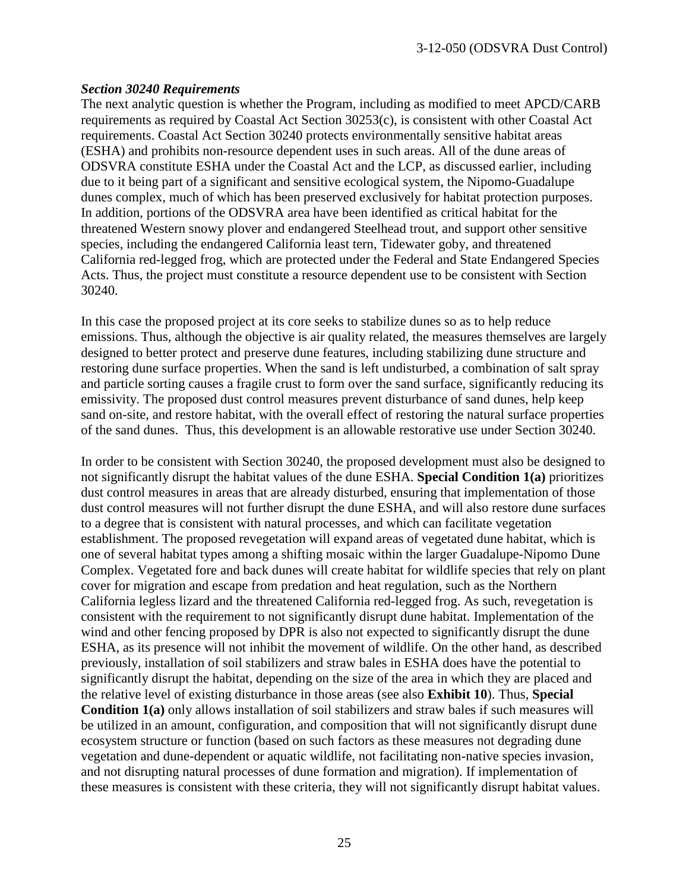#### *Section 30240 Requirements*

The next analytic question is whether the Program, including as modified to meet APCD/CARB requirements as required by Coastal Act Section 30253(c), is consistent with other Coastal Act requirements. Coastal Act Section 30240 protects environmentally sensitive habitat areas (ESHA) and prohibits non-resource dependent uses in such areas. All of the dune areas of ODSVRA constitute ESHA under the Coastal Act and the LCP, as discussed earlier, including due to it being part of a significant and sensitive ecological system, the Nipomo-Guadalupe dunes complex, much of which has been preserved exclusively for habitat protection purposes. In addition, portions of the ODSVRA area have been identified as critical habitat for the threatened Western snowy plover and endangered Steelhead trout, and support other sensitive species, including the endangered California least tern, Tidewater goby, and threatened California red-legged frog, which are protected under the Federal and State Endangered Species Acts. Thus, the project must constitute a resource dependent use to be consistent with Section 30240.

In this case the proposed project at its core seeks to stabilize dunes so as to help reduce emissions. Thus, although the objective is air quality related, the measures themselves are largely designed to better protect and preserve dune features, including stabilizing dune structure and restoring dune surface properties. When the sand is left undisturbed, a combination of salt spray and particle sorting causes a fragile crust to form over the sand surface, significantly reducing its emissivity. The proposed dust control measures prevent disturbance of sand dunes, help keep sand on-site, and restore habitat, with the overall effect of restoring the natural surface properties of the sand dunes. Thus, this development is an allowable restorative use under Section 30240.

In order to be consistent with Section 30240, the proposed development must also be designed to not significantly disrupt the habitat values of the dune ESHA. **Special Condition 1(a)** prioritizes dust control measures in areas that are already disturbed, ensuring that implementation of those dust control measures will not further disrupt the dune ESHA, and will also restore dune surfaces to a degree that is consistent with natural processes, and which can facilitate vegetation establishment. The proposed revegetation will expand areas of vegetated dune habitat, which is one of several habitat types among a shifting mosaic within the larger Guadalupe-Nipomo Dune Complex. Vegetated fore and back dunes will create habitat for wildlife species that rely on plant cover for migration and escape from predation and heat regulation, such as the Northern California legless lizard and the threatened California red-legged frog. As such, revegetation is consistent with the requirement to not significantly disrupt dune habitat. Implementation of the wind and other fencing proposed by DPR is also not expected to significantly disrupt the dune ESHA, as its presence will not inhibit the movement of wildlife. On the other hand, as described previously, installation of soil stabilizers and straw bales in ESHA does have the potential to significantly disrupt the habitat, depending on the size of the area in which they are placed and the relative level of existing disturbance in those areas (see also **Exhibit 10**). Thus, **Special Condition 1(a)** only allows installation of soil stabilizers and straw bales if such measures will be utilized in an amount, configuration, and composition that will not significantly disrupt dune ecosystem structure or function (based on such factors as these measures not degrading dune vegetation and dune-dependent or aquatic wildlife, not facilitating non-native species invasion, and not disrupting natural processes of dune formation and migration). If implementation of these measures is consistent with these criteria, they will not significantly disrupt habitat values.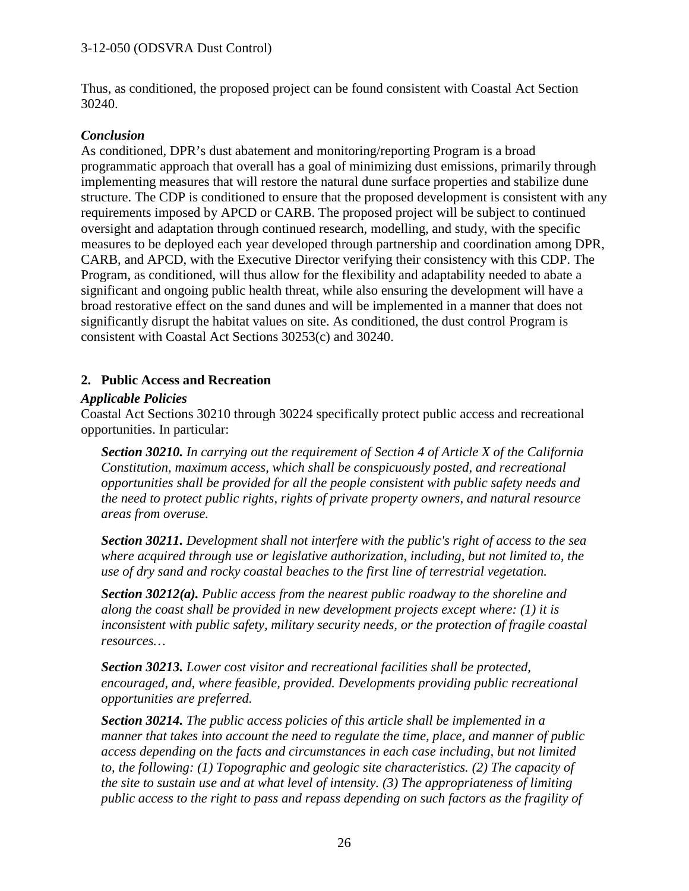Thus, as conditioned, the proposed project can be found consistent with Coastal Act Section 30240.

#### *Conclusion*

As conditioned, DPR's dust abatement and monitoring/reporting Program is a broad programmatic approach that overall has a goal of minimizing dust emissions, primarily through implementing measures that will restore the natural dune surface properties and stabilize dune structure. The CDP is conditioned to ensure that the proposed development is consistent with any requirements imposed by APCD or CARB. The proposed project will be subject to continued oversight and adaptation through continued research, modelling, and study, with the specific measures to be deployed each year developed through partnership and coordination among DPR, CARB, and APCD, with the Executive Director verifying their consistency with this CDP. The Program, as conditioned, will thus allow for the flexibility and adaptability needed to abate a significant and ongoing public health threat, while also ensuring the development will have a broad restorative effect on the sand dunes and will be implemented in a manner that does not significantly disrupt the habitat values on site. As conditioned, the dust control Program is consistent with Coastal Act Sections 30253(c) and 30240.

#### **2. Public Access and Recreation**

#### *Applicable Policies*

Coastal Act Sections 30210 through 30224 specifically protect public access and recreational opportunities. In particular:

*Section 30210. In carrying out the requirement of Section 4 of Article X of the California Constitution, maximum access, which shall be conspicuously posted, and recreational opportunities shall be provided for all the people consistent with public safety needs and the need to protect public rights, rights of private property owners, and natural resource areas from overuse.* 

*Section 30211. Development shall not interfere with the public's right of access to the sea where acquired through use or legislative authorization, including, but not limited to, the use of dry sand and rocky coastal beaches to the first line of terrestrial vegetation.* 

*Section 30212(a). Public access from the nearest public roadway to the shoreline and along the coast shall be provided in new development projects except where: (1) it is inconsistent with public safety, military security needs, or the protection of fragile coastal resources…* 

*Section 30213. Lower cost visitor and recreational facilities shall be protected, encouraged, and, where feasible, provided. Developments providing public recreational opportunities are preferred.* 

*Section 30214. The public access policies of this article shall be implemented in a manner that takes into account the need to regulate the time, place, and manner of public access depending on the facts and circumstances in each case including, but not limited to, the following: (1) Topographic and geologic site characteristics. (2) The capacity of the site to sustain use and at what level of intensity. (3) The appropriateness of limiting public access to the right to pass and repass depending on such factors as the fragility of*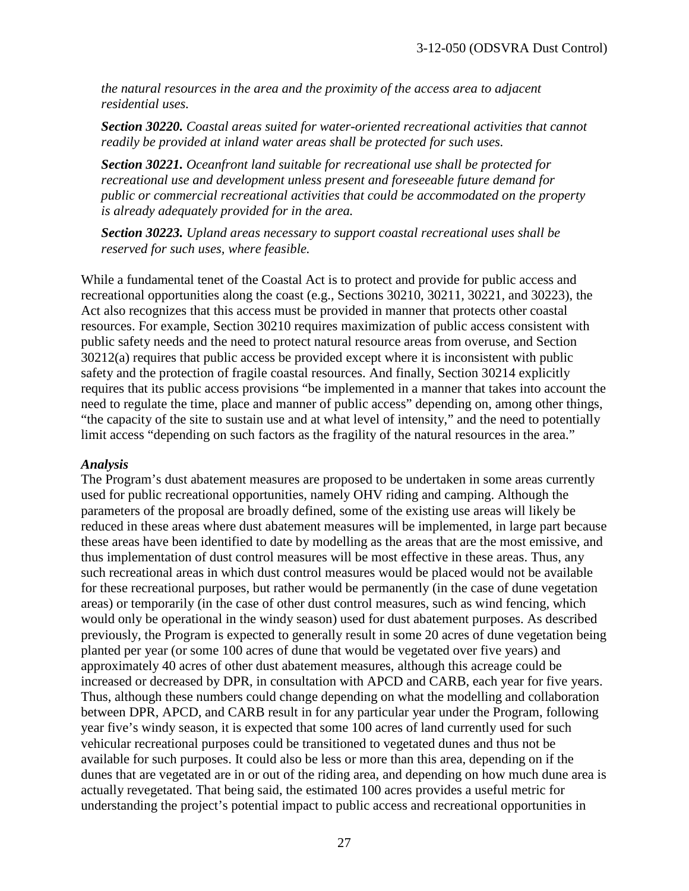*the natural resources in the area and the proximity of the access area to adjacent residential uses.* 

*Section 30220. Coastal areas suited for water-oriented recreational activities that cannot readily be provided at inland water areas shall be protected for such uses.*

*Section 30221. Oceanfront land suitable for recreational use shall be protected for recreational use and development unless present and foreseeable future demand for public or commercial recreational activities that could be accommodated on the property is already adequately provided for in the area.*

*Section 30223. Upland areas necessary to support coastal recreational uses shall be reserved for such uses, where feasible.*

While a fundamental tenet of the Coastal Act is to protect and provide for public access and recreational opportunities along the coast (e.g., Sections 30210, 30211, 30221, and 30223), the Act also recognizes that this access must be provided in manner that protects other coastal resources. For example, Section 30210 requires maximization of public access consistent with public safety needs and the need to protect natural resource areas from overuse, and Section 30212(a) requires that public access be provided except where it is inconsistent with public safety and the protection of fragile coastal resources. And finally, Section 30214 explicitly requires that its public access provisions "be implemented in a manner that takes into account the need to regulate the time, place and manner of public access" depending on, among other things, "the capacity of the site to sustain use and at what level of intensity," and the need to potentially limit access "depending on such factors as the fragility of the natural resources in the area."

#### *Analysis*

The Program's dust abatement measures are proposed to be undertaken in some areas currently used for public recreational opportunities, namely OHV riding and camping. Although the parameters of the proposal are broadly defined, some of the existing use areas will likely be reduced in these areas where dust abatement measures will be implemented, in large part because these areas have been identified to date by modelling as the areas that are the most emissive, and thus implementation of dust control measures will be most effective in these areas. Thus, any such recreational areas in which dust control measures would be placed would not be available for these recreational purposes, but rather would be permanently (in the case of dune vegetation areas) or temporarily (in the case of other dust control measures, such as wind fencing, which would only be operational in the windy season) used for dust abatement purposes. As described previously, the Program is expected to generally result in some 20 acres of dune vegetation being planted per year (or some 100 acres of dune that would be vegetated over five years) and approximately 40 acres of other dust abatement measures, although this acreage could be increased or decreased by DPR, in consultation with APCD and CARB, each year for five years. Thus, although these numbers could change depending on what the modelling and collaboration between DPR, APCD, and CARB result in for any particular year under the Program, following year five's windy season, it is expected that some 100 acres of land currently used for such vehicular recreational purposes could be transitioned to vegetated dunes and thus not be available for such purposes. It could also be less or more than this area, depending on if the dunes that are vegetated are in or out of the riding area, and depending on how much dune area is actually revegetated. That being said, the estimated 100 acres provides a useful metric for understanding the project's potential impact to public access and recreational opportunities in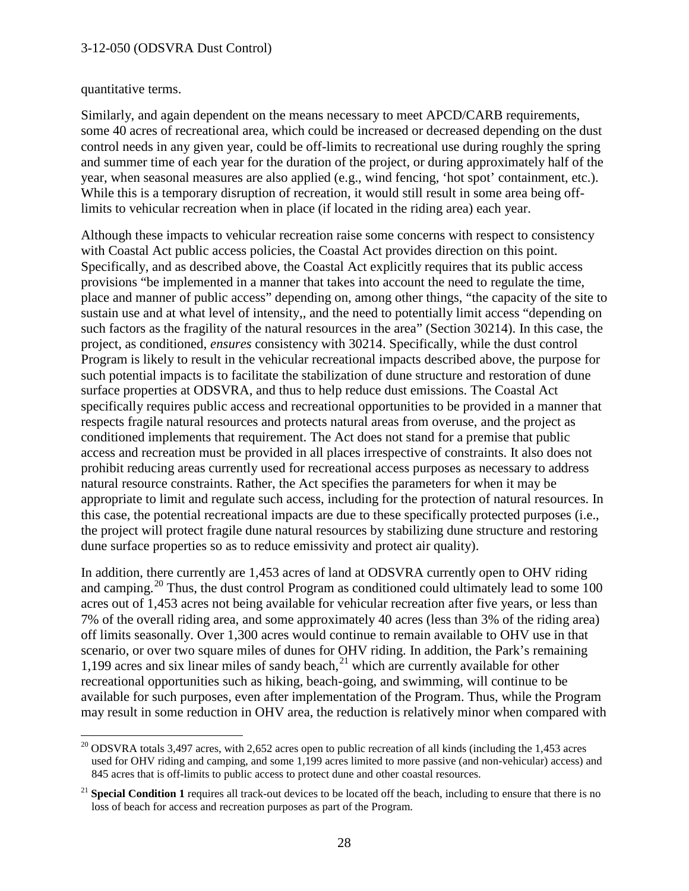#### quantitative terms.

 $\overline{a}$ 

Similarly, and again dependent on the means necessary to meet APCD/CARB requirements, some 40 acres of recreational area, which could be increased or decreased depending on the dust control needs in any given year, could be off-limits to recreational use during roughly the spring and summer time of each year for the duration of the project, or during approximately half of the year, when seasonal measures are also applied (e.g., wind fencing, 'hot spot' containment, etc.). While this is a temporary disruption of recreation, it would still result in some area being offlimits to vehicular recreation when in place (if located in the riding area) each year.

Although these impacts to vehicular recreation raise some concerns with respect to consistency with Coastal Act public access policies, the Coastal Act provides direction on this point. Specifically, and as described above, the Coastal Act explicitly requires that its public access provisions "be implemented in a manner that takes into account the need to regulate the time, place and manner of public access" depending on, among other things, "the capacity of the site to sustain use and at what level of intensity,, and the need to potentially limit access "depending on such factors as the fragility of the natural resources in the area" (Section 30214). In this case, the project, as conditioned, *ensures* consistency with 30214. Specifically, while the dust control Program is likely to result in the vehicular recreational impacts described above, the purpose for such potential impacts is to facilitate the stabilization of dune structure and restoration of dune surface properties at ODSVRA, and thus to help reduce dust emissions. The Coastal Act specifically requires public access and recreational opportunities to be provided in a manner that respects fragile natural resources and protects natural areas from overuse, and the project as conditioned implements that requirement. The Act does not stand for a premise that public access and recreation must be provided in all places irrespective of constraints. It also does not prohibit reducing areas currently used for recreational access purposes as necessary to address natural resource constraints. Rather, the Act specifies the parameters for when it may be appropriate to limit and regulate such access, including for the protection of natural resources. In this case, the potential recreational impacts are due to these specifically protected purposes (i.e., the project will protect fragile dune natural resources by stabilizing dune structure and restoring dune surface properties so as to reduce emissivity and protect air quality).

In addition, there currently are 1,453 acres of land at ODSVRA currently open to OHV riding and camping.<sup>[20](#page-27-0)</sup> Thus, the dust control Program as conditioned could ultimately lead to some 100 acres out of 1,453 acres not being available for vehicular recreation after five years, or less than 7% of the overall riding area, and some approximately 40 acres (less than 3% of the riding area) off limits seasonally. Over 1,300 acres would continue to remain available to OHV use in that scenario, or over two square miles of dunes for OHV riding. In addition, the Park's remaining 1,199 acres and six linear miles of sandy beach, $^{21}$  $^{21}$  $^{21}$  which are currently available for other recreational opportunities such as hiking, beach-going, and swimming, will continue to be available for such purposes, even after implementation of the Program. Thus, while the Program may result in some reduction in OHV area, the reduction is relatively minor when compared with

<span id="page-27-0"></span><sup>&</sup>lt;sup>20</sup> ODSVRA totals 3,497 acres, with 2,652 acres open to public recreation of all kinds (including the 1,453 acres used for OHV riding and camping, and some 1,199 acres limited to more passive (and non-vehicular) access) and 845 acres that is off-limits to public access to protect dune and other coastal resources.

<span id="page-27-1"></span><sup>&</sup>lt;sup>21</sup> **Special Condition 1** requires all track-out devices to be located off the beach, including to ensure that there is no loss of beach for access and recreation purposes as part of the Program.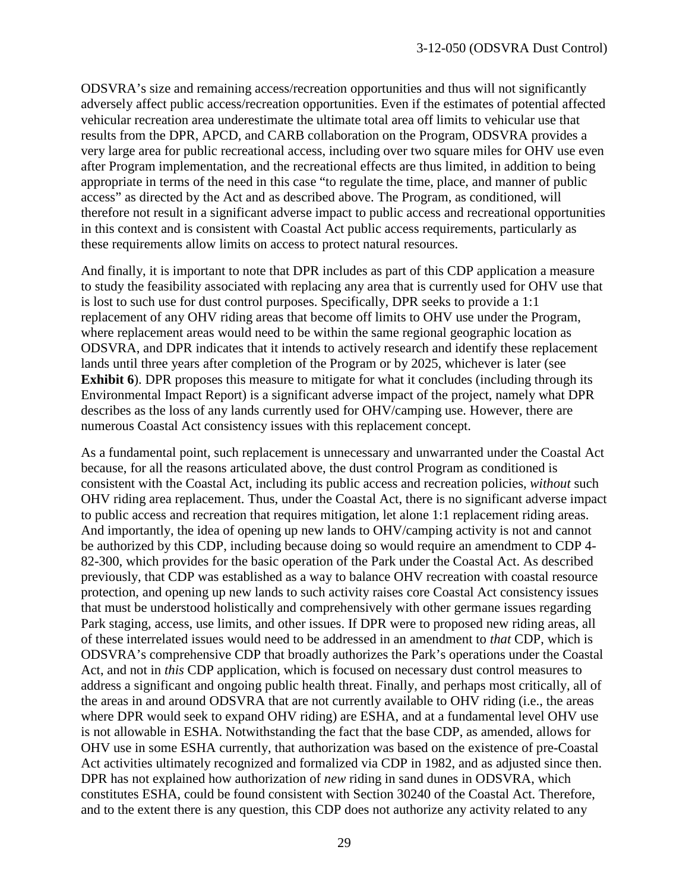ODSVRA's size and remaining access/recreation opportunities and thus will not significantly adversely affect public access/recreation opportunities. Even if the estimates of potential affected vehicular recreation area underestimate the ultimate total area off limits to vehicular use that results from the DPR, APCD, and CARB collaboration on the Program, ODSVRA provides a very large area for public recreational access, including over two square miles for OHV use even after Program implementation, and the recreational effects are thus limited, in addition to being appropriate in terms of the need in this case "to regulate the time, place, and manner of public access" as directed by the Act and as described above. The Program, as conditioned, will therefore not result in a significant adverse impact to public access and recreational opportunities in this context and is consistent with Coastal Act public access requirements, particularly as these requirements allow limits on access to protect natural resources.

And finally, it is important to note that DPR includes as part of this CDP application a measure to study the feasibility associated with replacing any area that is currently used for OHV use that is lost to such use for dust control purposes. Specifically, DPR seeks to provide a 1:1 replacement of any OHV riding areas that become off limits to OHV use under the Program, where replacement areas would need to be within the same regional geographic location as ODSVRA, and DPR indicates that it intends to actively research and identify these replacement lands until three years after completion of the Program or by 2025, whichever is later (see **Exhibit 6**). DPR proposes this measure to mitigate for what it concludes (including through its Environmental Impact Report) is a significant adverse impact of the project, namely what DPR describes as the loss of any lands currently used for OHV/camping use. However, there are numerous Coastal Act consistency issues with this replacement concept.

As a fundamental point, such replacement is unnecessary and unwarranted under the Coastal Act because, for all the reasons articulated above, the dust control Program as conditioned is consistent with the Coastal Act, including its public access and recreation policies, *without* such OHV riding area replacement. Thus, under the Coastal Act, there is no significant adverse impact to public access and recreation that requires mitigation, let alone 1:1 replacement riding areas. And importantly, the idea of opening up new lands to OHV/camping activity is not and cannot be authorized by this CDP, including because doing so would require an amendment to CDP 4- 82-300, which provides for the basic operation of the Park under the Coastal Act. As described previously, that CDP was established as a way to balance OHV recreation with coastal resource protection, and opening up new lands to such activity raises core Coastal Act consistency issues that must be understood holistically and comprehensively with other germane issues regarding Park staging, access, use limits, and other issues. If DPR were to proposed new riding areas, all of these interrelated issues would need to be addressed in an amendment to *that* CDP, which is ODSVRA's comprehensive CDP that broadly authorizes the Park's operations under the Coastal Act, and not in *this* CDP application, which is focused on necessary dust control measures to address a significant and ongoing public health threat. Finally, and perhaps most critically, all of the areas in and around ODSVRA that are not currently available to OHV riding (i.e., the areas where DPR would seek to expand OHV riding) are ESHA, and at a fundamental level OHV use is not allowable in ESHA. Notwithstanding the fact that the base CDP, as amended, allows for OHV use in some ESHA currently, that authorization was based on the existence of pre-Coastal Act activities ultimately recognized and formalized via CDP in 1982, and as adjusted since then. DPR has not explained how authorization of *new* riding in sand dunes in ODSVRA, which constitutes ESHA, could be found consistent with Section 30240 of the Coastal Act. Therefore, and to the extent there is any question, this CDP does not authorize any activity related to any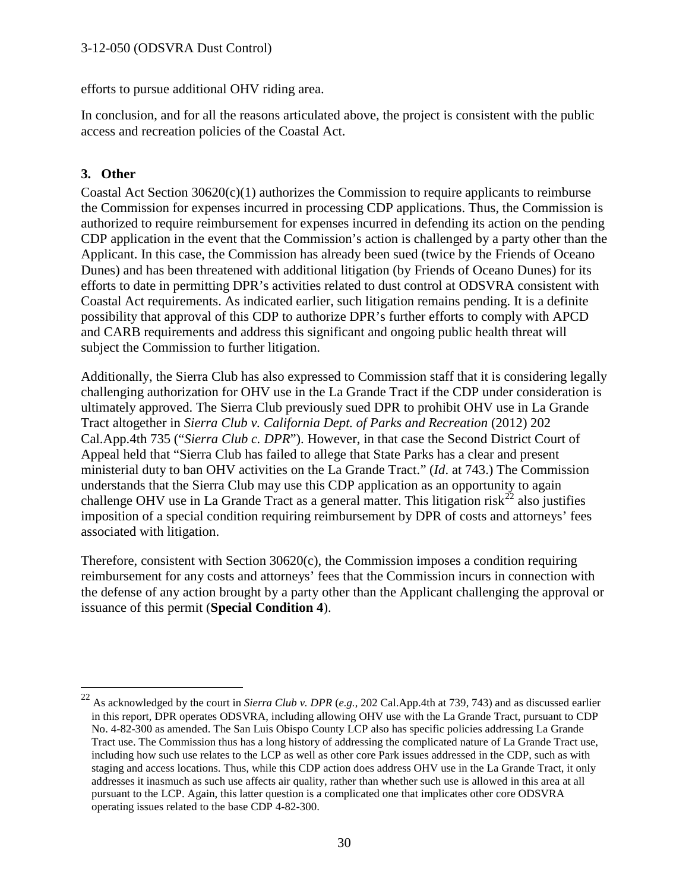efforts to pursue additional OHV riding area.

In conclusion, and for all the reasons articulated above, the project is consistent with the public access and recreation policies of the Coastal Act.

#### **3. Other**

 $\overline{a}$ 

Coastal Act Section 30620(c)(1) authorizes the Commission to require applicants to reimburse the Commission for expenses incurred in processing CDP applications. Thus, the Commission is authorized to require reimbursement for expenses incurred in defending its action on the pending CDP application in the event that the Commission's action is challenged by a party other than the Applicant. In this case, the Commission has already been sued (twice by the Friends of Oceano Dunes) and has been threatened with additional litigation (by Friends of Oceano Dunes) for its efforts to date in permitting DPR's activities related to dust control at ODSVRA consistent with Coastal Act requirements. As indicated earlier, such litigation remains pending. It is a definite possibility that approval of this CDP to authorize DPR's further efforts to comply with APCD and CARB requirements and address this significant and ongoing public health threat will subject the Commission to further litigation.

Additionally, the Sierra Club has also expressed to Commission staff that it is considering legally challenging authorization for OHV use in the La Grande Tract if the CDP under consideration is ultimately approved. The Sierra Club previously sued DPR to prohibit OHV use in La Grande Tract altogether in *Sierra Club v. California Dept. of Parks and Recreation* (2012) 202 Cal.App.4th 735 ("*Sierra Club c. DPR*"). However, in that case the Second District Court of Appeal held that "Sierra Club has failed to allege that State Parks has a clear and present ministerial duty to ban OHV activities on the La Grande Tract." (*Id*. at 743.) The Commission understands that the Sierra Club may use this CDP application as an opportunity to again challenge OHV use in La Grande Tract as a general matter. This litigation risk<sup>[22](#page-29-0)</sup> also justifies imposition of a special condition requiring reimbursement by DPR of costs and attorneys' fees associated with litigation.

Therefore, consistent with Section 30620(c), the Commission imposes a condition requiring reimbursement for any costs and attorneys' fees that the Commission incurs in connection with the defense of any action brought by a party other than the Applicant challenging the approval or issuance of this permit (**Special Condition 4**).

<span id="page-29-0"></span><sup>22</sup> As acknowledged by the court in *Sierra Club v. DPR* (*e.g.*, 202 Cal.App.4th at 739, 743) and as discussed earlier in this report, DPR operates ODSVRA, including allowing OHV use with the La Grande Tract, pursuant to CDP No. 4-82-300 as amended. The San Luis Obispo County LCP also has specific policies addressing La Grande Tract use. The Commission thus has a long history of addressing the complicated nature of La Grande Tract use, including how such use relates to the LCP as well as other core Park issues addressed in the CDP, such as with staging and access locations. Thus, while this CDP action does address OHV use in the La Grande Tract, it only addresses it inasmuch as such use affects air quality, rather than whether such use is allowed in this area at all pursuant to the LCP. Again, this latter question is a complicated one that implicates other core ODSVRA operating issues related to the base CDP 4-82-300.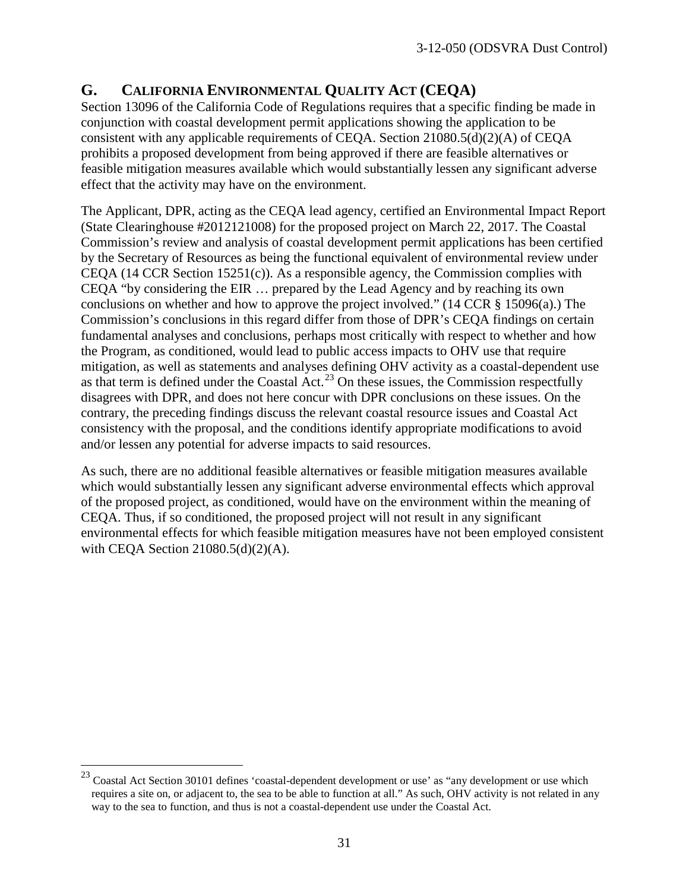### **G. CALIFORNIA ENVIRONMENTAL QUALITY ACT (CEQA)**

Section 13096 of the California Code of Regulations requires that a specific finding be made in conjunction with coastal development permit applications showing the application to be consistent with any applicable requirements of CEQA. Section 21080.5(d)(2)(A) of CEQA prohibits a proposed development from being approved if there are feasible alternatives or feasible mitigation measures available which would substantially lessen any significant adverse effect that the activity may have on the environment.

The Applicant, DPR, acting as the CEQA lead agency, certified an Environmental Impact Report (State Clearinghouse #2012121008) for the proposed project on March 22, 2017. The Coastal Commission's review and analysis of coastal development permit applications has been certified by the Secretary of Resources as being the functional equivalent of environmental review under CEQA (14 CCR Section 15251 $(c)$ ). As a responsible agency, the Commission complies with CEQA "by considering the EIR … prepared by the Lead Agency and by reaching its own conclusions on whether and how to approve the project involved." (14 CCR § 15096(a).) The Commission's conclusions in this regard differ from those of DPR's CEQA findings on certain fundamental analyses and conclusions, perhaps most critically with respect to whether and how the Program, as conditioned, would lead to public access impacts to OHV use that require mitigation, as well as statements and analyses defining OHV activity as a coastal-dependent use as that term is defined under the Coastal Act.<sup>[23](#page-30-0)</sup> On these issues, the Commission respectfully disagrees with DPR, and does not here concur with DPR conclusions on these issues. On the contrary, the preceding findings discuss the relevant coastal resource issues and Coastal Act consistency with the proposal, and the conditions identify appropriate modifications to avoid and/or lessen any potential for adverse impacts to said resources.

As such, there are no additional feasible alternatives or feasible mitigation measures available which would substantially lessen any significant adverse environmental effects which approval of the proposed project, as conditioned, would have on the environment within the meaning of CEQA. Thus, if so conditioned, the proposed project will not result in any significant environmental effects for which feasible mitigation measures have not been employed consistent with CEQA Section  $21080.5(d)(2)(A)$ .

 $\overline{a}$ 

<span id="page-30-0"></span> $^{23}$  Coastal Act Section 30101 defines 'coastal-dependent development or use' as "any development or use which requires a site on, or adjacent to, the sea to be able to function at all." As such, OHV activity is not related in any way to the sea to function, and thus is not a coastal-dependent use under the Coastal Act.